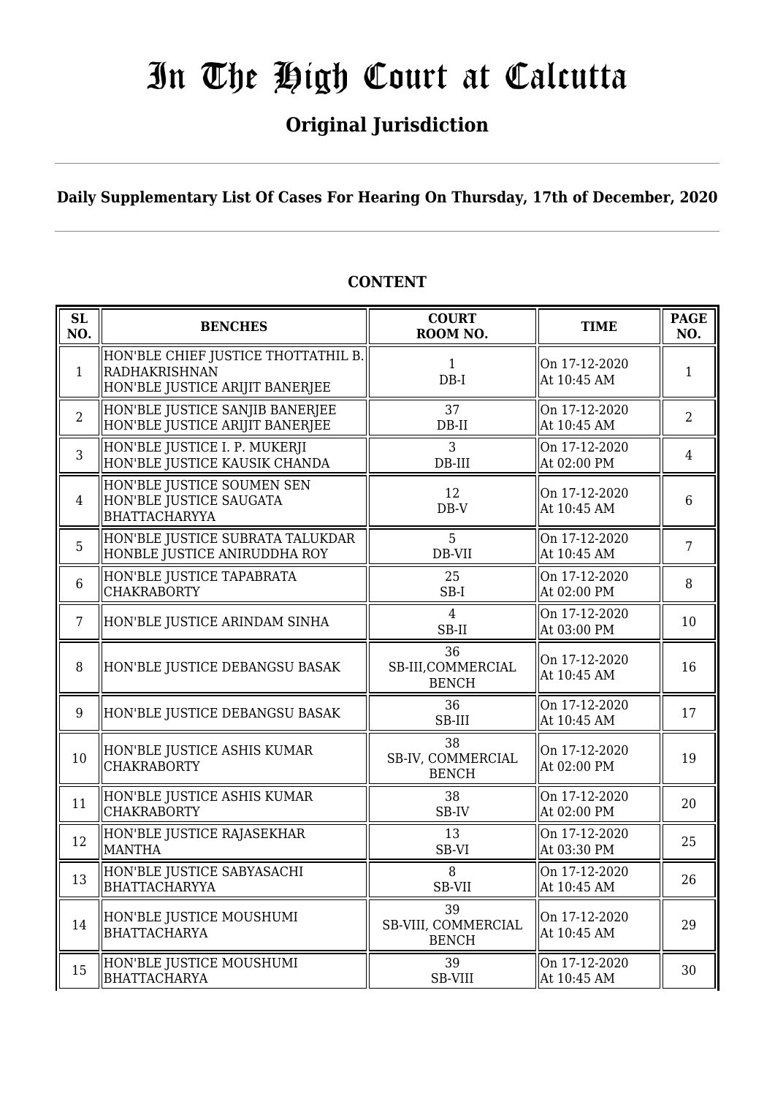### **Original Jurisdiction**

**Daily Supplementary List Of Cases For Hearing On Thursday, 17th of December, 2020**

#### **SL SL BENCHES COURT**<br> **NO. BENCHES COURT ROOM NO. TIME PAGE**<br>**ROOM NO. TIME ROOM NO.** 1 HON'BLE CHIEF JUSTICE THOTTATHIL B. RADHAKRISHNAN HON'BLE JUSTICE ARIJIT BANERJEE 1 DB-I On 17-12-2020 At 10:45 AM  $\begin{array}{|c|c|} \hline 1 & 1 \\ \hline \end{array}$ 2 HON'BLE JUSTICE SANJIB BANERJEE HON'BLE JUSTICE ARIJIT BANERJEE 37 DB-II On 17-12-2020 At 10:45 AM 2 3 HON'BLE JUSTICE I. P. MUKERJI HON'BLE JUSTICE KAUSIK CHANDA 3 DB-III On 17-12-2020  $\begin{array}{|c|c|c|c|c|} \hline \text{Un 17-12-2020} & & 4 \\ \hline \text{At 02:00 PM} & & 4 \end{array}$ 4 HON'BLE JUSTICE SOUMEN SEN HON'BLE JUSTICE SAUGATA BHATTACHARYYA 12 DB-V On 17-12-2020  $\begin{vmatrix} 0 & 1 & 1 & -12 & -2020 \\ 4 & 10 & 45 & 4M \end{vmatrix}$  6 5 HON'BLE JUSTICE SUBRATA TALUKDAR HONBLE JUSTICE ANIRUDDHA ROY 5 DB-VII On 17-12-2020  $\left[\begin{array}{cc} \n\text{OH} & 17 - 12 - 2020 \\
\text{At} & 10:45 \text{ AM} \n\end{array}\right]$  7 6 HON'BLE JUSTICE TAPABRATA CHAKRABORTY 25 SB-I On 17-12-2020  $\left[\begin{array}{cc} 0 & 1 \\ 0 & 1 \end{array}\right]$  + 12-2020<br>At 02:00 PM  $\left[\begin{array}{cc} 8 \end{array}\right]$ 7 HON'BLE JUSTICE ARINDAM SINHA  $\parallel$  4 SB-II On 17-12-2020  $\left[\begin{array}{cc} \text{OH} & 17 - 12 - 2020 \\ \text{At} & 03:00 \text{ PM} \end{array}\right]$  10 8 HON'BLE JUSTICE DEBANGSU BASAK 36 SB-III,COMMERCIAL BENCH On 17-12-2020  $\begin{array}{|c|c|c|c|c|} \hline \text{At 10:45 AM} & & 16 \hline \end{array}$ 9 HON'BLE JUSTICE DEBANGSU BASAK 36 SB-III On 17-12-2020  $\left[\begin{array}{cc} \text{OH} & \text{17-12-2020} \\ \text{At} & \text{10:45 AM} \end{array}\right]$  17  $10$  HON'BLE JUSTICE ASHIS KUMAR CHAKRABORTY 38 SB-IV, COMMERCIAL BENCH On 17-12-2020  $\begin{array}{|c|c|c|c|c|c|} \hline \text{Out 17-12-2020} & & 19 \\ \hline \text{At 02:00 PM} & & 19 \end{array}$ 11 HON'BLE JUSTICE ASHIS KUMAR CHAKRABORTY 38 SB-IV On 17-12-2020  $\begin{array}{c|c}\n\text{Out 17-12-2020} \\
\text{At 02:00 PM}\n\end{array}$  20 12 HON'BLE JUSTICE RAJASEKHAR MANTHA 13 SB-VI On 17-12-2020  $\left[\begin{array}{cc} \text{OH} & 17.12 - 2020 \\ \text{At} & 03:30 \text{ PM} \end{array}\right]$  25 13 HON'BLE JUSTICE SABYASACHI BHATTACHARYYA  $\mathsf{Q}$ SB-VII On 17-12-2020  $\begin{array}{|c|c|c|c|c|} \hline \text{At 10:45 AM} & & 26 \hline \end{array}$  $\frac{14}{14}$  HON'BLE JUSTICE MOUSHUMI BHATTACHARYA 39 SB-VIII, COMMERCIAL BENCH On 17-12-2020  $\begin{array}{|c|c|c|c|c|} \hline \text{Out 17-12-2020} & & 29 \\ \hline \text{At 10:45 AM} & & 29 \end{array}$ 15 HON'BLE JUSTICE MOUSHUMI **BHATTACHARYA** 39 SB-VIII On 17-12-2020  $\begin{array}{|c|c|c|c|c|c|} \hline \text{Out 17:12:2020} & & 30 \\ \hline \text{At 10:45 AM} & & 30 \\ \hline \end{array}$

#### **CONTENT**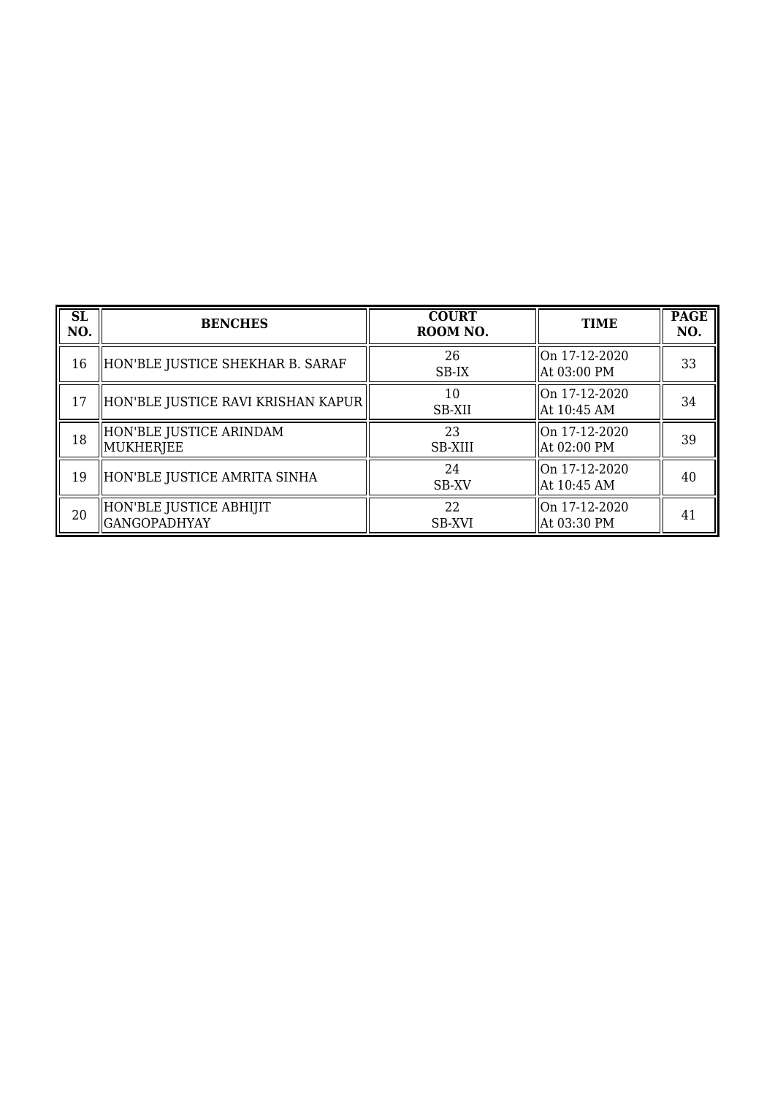| <b>SL</b><br>NO. | <b>BENCHES</b>                                 | <b>COURT</b><br>ROOM NO. | <b>TIME</b>                     | <b>PAGE</b><br>NO. |
|------------------|------------------------------------------------|--------------------------|---------------------------------|--------------------|
| 16               | HON'BLE JUSTICE SHEKHAR B. SARAF               | 26<br>SB-IX              | On 17-12-2020<br>  At 03:00 PM  | 33                 |
| 17               | HON'BLE JUSTICE RAVI KRISHAN KAPUR             | 10<br>SB-XII             | On 17-12-2020<br>  At 10:45 AM  | 34                 |
| 18               | HON'BLE JUSTICE ARINDAM<br>MUKHERJEE           | 23<br>SB-XIII            | On 17-12-2020<br>  At 02:00 PM  | 39                 |
| 19               | HON'BLE JUSTICE AMRITA SINHA                   | 24<br>SB-XV              | lOn 17-12-2020<br>  At 10:45 AM | 40                 |
| 20               | HON'BLE JUSTICE ABHIJIT<br><b>GANGOPADHYAY</b> | 22<br><b>SB-XVI</b>      | On 17-12-2020<br>  At 03:30 PM  | 41                 |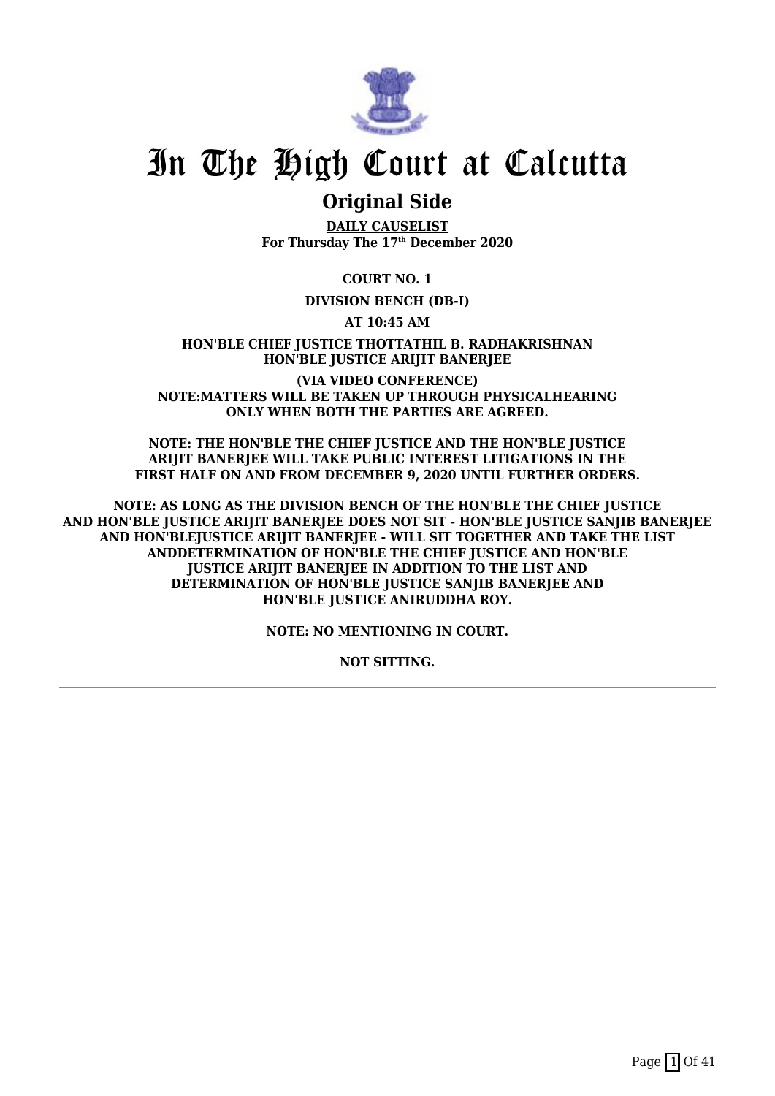

### **Original Side**

**DAILY CAUSELIST For Thursday The 17th December 2020**

**COURT NO. 1**

#### **DIVISION BENCH (DB-I)**

**AT 10:45 AM**

**HON'BLE CHIEF JUSTICE THOTTATHIL B. RADHAKRISHNAN HON'BLE JUSTICE ARIJIT BANERJEE**

**(VIA VIDEO CONFERENCE) NOTE:MATTERS WILL BE TAKEN UP THROUGH PHYSICALHEARING ONLY WHEN BOTH THE PARTIES ARE AGREED.**

**NOTE: THE HON'BLE THE CHIEF JUSTICE AND THE HON'BLE JUSTICE ARIJIT BANERJEE WILL TAKE PUBLIC INTEREST LITIGATIONS IN THE FIRST HALF ON AND FROM DECEMBER 9, 2020 UNTIL FURTHER ORDERS.**

**NOTE: AS LONG AS THE DIVISION BENCH OF THE HON'BLE THE CHIEF JUSTICE AND HON'BLE JUSTICE ARIJIT BANERJEE DOES NOT SIT - HON'BLE JUSTICE SANJIB BANERJEE AND HON'BLEJUSTICE ARIJIT BANERJEE - WILL SIT TOGETHER AND TAKE THE LIST ANDDETERMINATION OF HON'BLE THE CHIEF JUSTICE AND HON'BLE JUSTICE ARIJIT BANERJEE IN ADDITION TO THE LIST AND DETERMINATION OF HON'BLE JUSTICE SANJIB BANERJEE AND HON'BLE JUSTICE ANIRUDDHA ROY.**

**NOTE: NO MENTIONING IN COURT.**

**NOT SITTING.**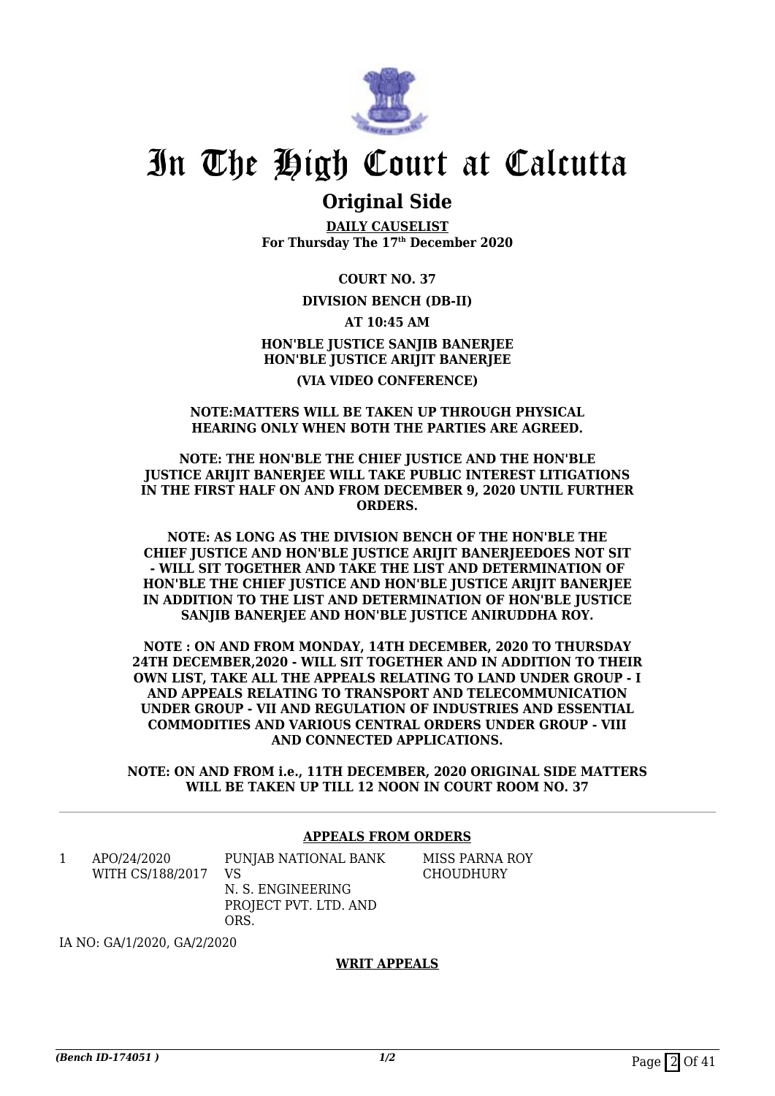

### **Original Side**

**DAILY CAUSELIST For Thursday The 17th December 2020**

**COURT NO. 37**

#### **DIVISION BENCH (DB-II)**

**AT 10:45 AM**

**HON'BLE JUSTICE SANJIB BANERJEE HON'BLE JUSTICE ARIJIT BANERJEE (VIA VIDEO CONFERENCE)**

#### **NOTE:MATTERS WILL BE TAKEN UP THROUGH PHYSICAL HEARING ONLY WHEN BOTH THE PARTIES ARE AGREED.**

#### **NOTE: THE HON'BLE THE CHIEF JUSTICE AND THE HON'BLE JUSTICE ARIJIT BANERJEE WILL TAKE PUBLIC INTEREST LITIGATIONS IN THE FIRST HALF ON AND FROM DECEMBER 9, 2020 UNTIL FURTHER ORDERS.**

**NOTE: AS LONG AS THE DIVISION BENCH OF THE HON'BLE THE CHIEF JUSTICE AND HON'BLE JUSTICE ARIJIT BANERJEEDOES NOT SIT - WILL SIT TOGETHER AND TAKE THE LIST AND DETERMINATION OF HON'BLE THE CHIEF JUSTICE AND HON'BLE JUSTICE ARIJIT BANERJEE IN ADDITION TO THE LIST AND DETERMINATION OF HON'BLE JUSTICE SANJIB BANERJEE AND HON'BLE JUSTICE ANIRUDDHA ROY.**

**NOTE : ON AND FROM MONDAY, 14TH DECEMBER, 2020 TO THURSDAY 24TH DECEMBER,2020 - WILL SIT TOGETHER AND IN ADDITION TO THEIR OWN LIST, TAKE ALL THE APPEALS RELATING TO LAND UNDER GROUP - I AND APPEALS RELATING TO TRANSPORT AND TELECOMMUNICATION UNDER GROUP - VII AND REGULATION OF INDUSTRIES AND ESSENTIAL COMMODITIES AND VARIOUS CENTRAL ORDERS UNDER GROUP - VIII AND CONNECTED APPLICATIONS.**

**NOTE: ON AND FROM i.e., 11TH DECEMBER, 2020 ORIGINAL SIDE MATTERS WILL BE TAKEN UP TILL 12 NOON IN COURT ROOM NO. 37**

#### **APPEALS FROM ORDERS**

MISS PARNA ROY **CHOUDHURY** 

1 APO/24/2020 WITH CS/188/2017 PUNJAB NATIONAL BANK VS N. S. ENGINEERING PROJECT PVT. LTD. AND ORS.

IA NO: GA/1/2020, GA/2/2020

#### **WRIT APPEALS**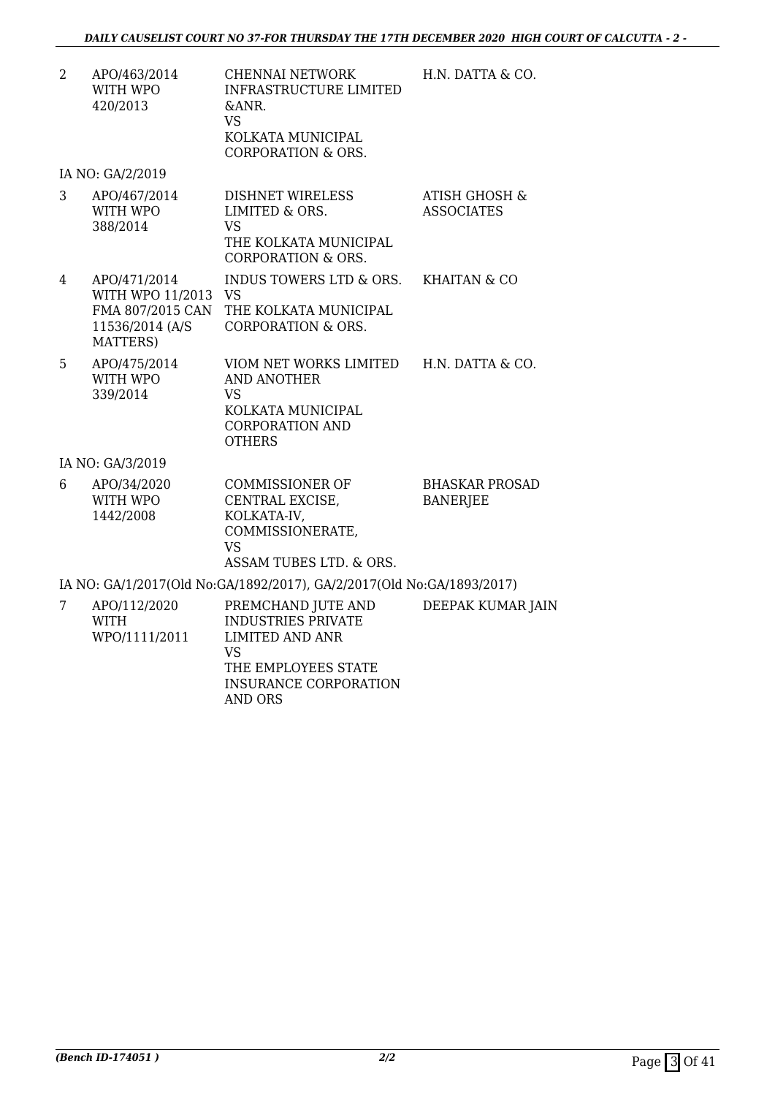2 APO/463/2014 WITH WPO 420/2013 CHENNAI NETWORK INFRASTRUCTURE LIMITED &ANR. VS KOLKATA MUNICIPAL CORPORATION & ORS. H.N. DATTA & CO.

IA NO: GA/2/2019

|   | APO/467/2014<br>WITH WPO | DISHNET WIRELESS<br>LIMITED & ORS.          | ATISH GHOSH &<br><b>ASSOCIATES</b> |  |
|---|--------------------------|---------------------------------------------|------------------------------------|--|
|   | 388/2014                 | VS                                          |                                    |  |
|   |                          | THE KOLKATA MUNICIPAL<br>CORPORATION & ORS. |                                    |  |
|   |                          |                                             |                                    |  |
| 4 | APO/471/2014             | INDUS TOWERS LTD & ORS.                     | KHAITAN & CO                       |  |

| MATTERS)            |                                        |  |
|---------------------|----------------------------------------|--|
| 11536/2014 (A/S     | CORPORATION & ORS.                     |  |
|                     | FMA 807/2015 CAN THE KOLKATA MUNICIPAL |  |
| WITH WPO 11/2013 VS |                                        |  |
|                     |                                        |  |

| 5 | APO/475/2014 | VIOM NET WORKS LIMITED | H.N. DATTA & CO. |
|---|--------------|------------------------|------------------|
|   | WITH WPO     | AND ANOTHER            |                  |
|   | 339/2014     | VS                     |                  |
|   |              | KOLKATA MUNICIPAL      |                  |
|   |              | CORPORATION AND        |                  |
|   |              | <b>OTHERS</b>          |                  |

IA NO: GA/3/2019

| APO/34/2020 | COMMISSIONER OF         | <b>BHASKAR PROSAD</b> |
|-------------|-------------------------|-----------------------|
| WITH WPO    | CENTRAL EXCISE,         | BANERJEE              |
| 1442/2008   | KOLKATA-IV.             |                       |
|             | COMMISSIONERATE,        |                       |
|             | VS                      |                       |
|             | ASSAM TUBES LTD. & ORS. |                       |
|             |                         |                       |

IA NO: GA/1/2017(Old No:GA/1892/2017), GA/2/2017(Old No:GA/1893/2017)

| APO/112/2020<br><b>WITH</b><br>WPO/1111/2011 | PREMCHAND JUTE AND<br><b>INDUSTRIES PRIVATE</b><br>LIMITED AND ANR<br>VS<br>THE EMPLOYEES STATE<br>INSURANCE CORPORATION<br>AND ORS | DEEPAK KUMAR JAIN |
|----------------------------------------------|-------------------------------------------------------------------------------------------------------------------------------------|-------------------|
|                                              |                                                                                                                                     |                   |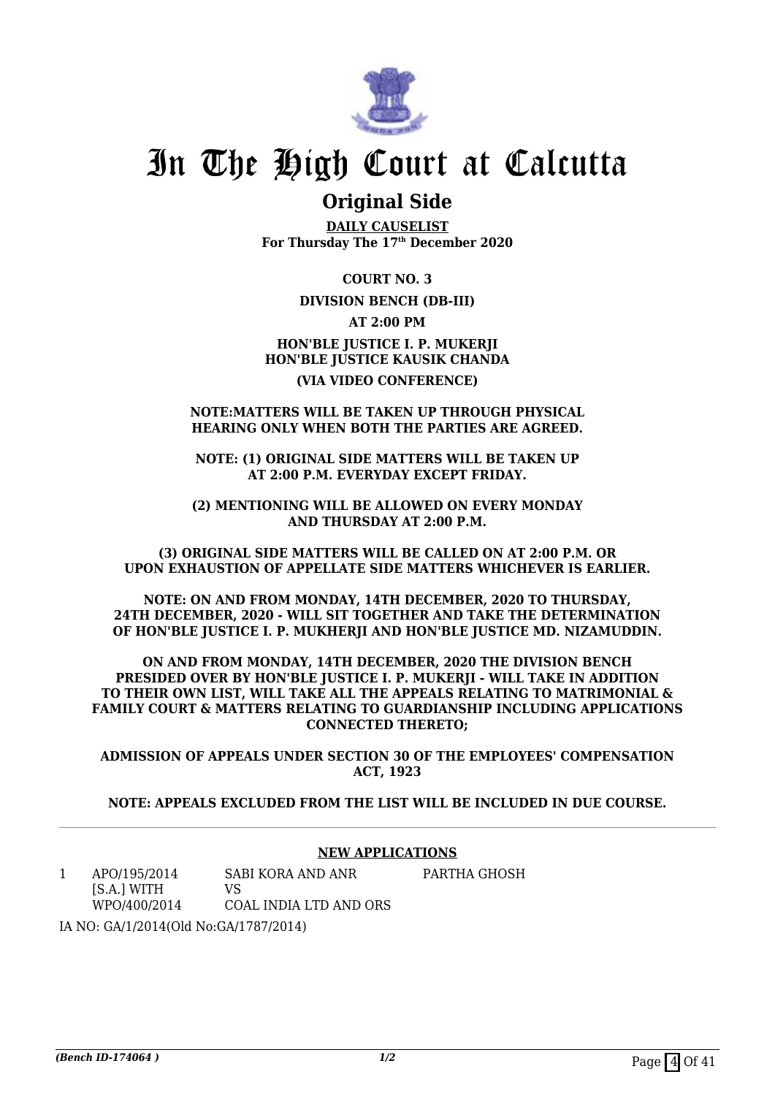

### **Original Side**

**DAILY CAUSELIST For Thursday The 17th December 2020**

**COURT NO. 3**

#### **DIVISION BENCH (DB-III)**

**AT 2:00 PM**

#### **HON'BLE JUSTICE I. P. MUKERJI HON'BLE JUSTICE KAUSIK CHANDA (VIA VIDEO CONFERENCE)**

#### **NOTE:MATTERS WILL BE TAKEN UP THROUGH PHYSICAL HEARING ONLY WHEN BOTH THE PARTIES ARE AGREED.**

**NOTE: (1) ORIGINAL SIDE MATTERS WILL BE TAKEN UP AT 2:00 P.M. EVERYDAY EXCEPT FRIDAY.**

**(2) MENTIONING WILL BE ALLOWED ON EVERY MONDAY AND THURSDAY AT 2:00 P.M.**

**(3) ORIGINAL SIDE MATTERS WILL BE CALLED ON AT 2:00 P.M. OR UPON EXHAUSTION OF APPELLATE SIDE MATTERS WHICHEVER IS EARLIER.**

**NOTE: ON AND FROM MONDAY, 14TH DECEMBER, 2020 TO THURSDAY, 24TH DECEMBER, 2020 - WILL SIT TOGETHER AND TAKE THE DETERMINATION OF HON'BLE JUSTICE I. P. MUKHERJI AND HON'BLE JUSTICE MD. NIZAMUDDIN.**

**ON AND FROM MONDAY, 14TH DECEMBER, 2020 THE DIVISION BENCH PRESIDED OVER BY HON'BLE JUSTICE I. P. MUKERJI - WILL TAKE IN ADDITION TO THEIR OWN LIST, WILL TAKE ALL THE APPEALS RELATING TO MATRIMONIAL & FAMILY COURT & MATTERS RELATING TO GUARDIANSHIP INCLUDING APPLICATIONS CONNECTED THERETO;**

**ADMISSION OF APPEALS UNDER SECTION 30 OF THE EMPLOYEES' COMPENSATION ACT, 1923**

**NOTE: APPEALS EXCLUDED FROM THE LIST WILL BE INCLUDED IN DUE COURSE.**

#### **NEW APPLICATIONS**

1 APO/195/2014 [S.A.] WITH WPO/400/2014 SABI KORA AND ANR  $V<sup>Q</sup>$ COAL INDIA LTD AND ORS PARTHA GHOSH

IA NO: GA/1/2014(Old No:GA/1787/2014)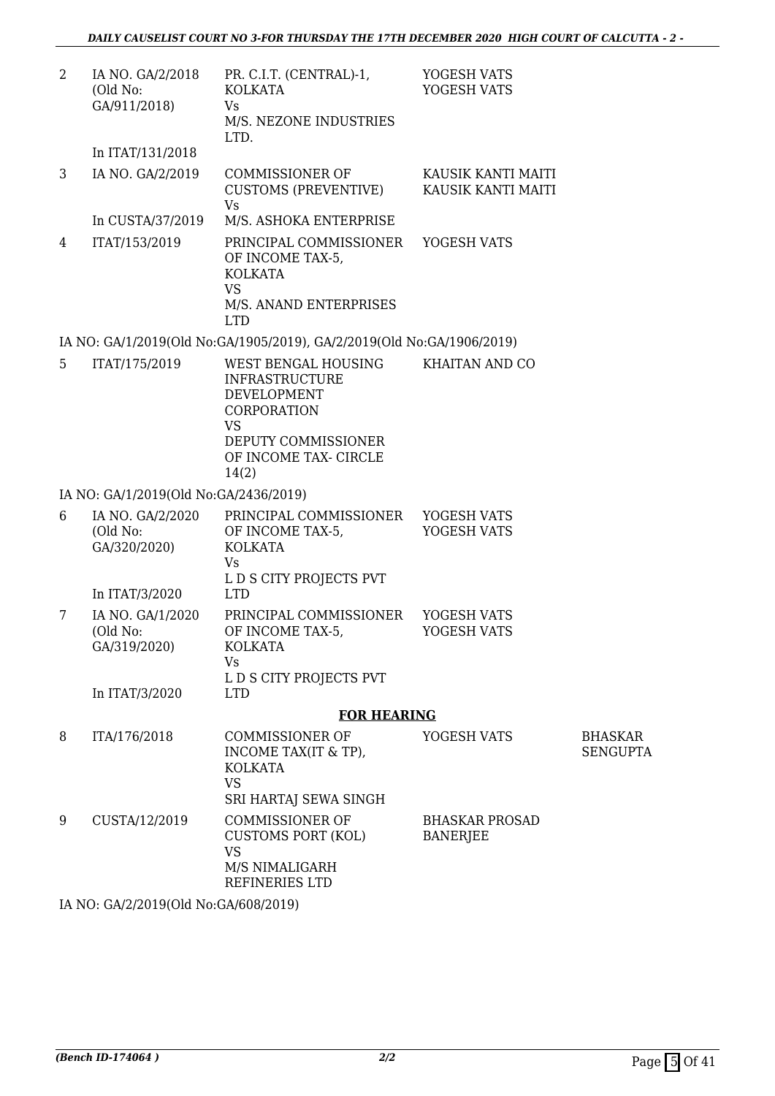| 2 | IA NO. GA/2/2018<br>(Old No:<br>GA/911/2018) | PR. C.I.T. (CENTRAL)-1,<br><b>KOLKATA</b><br><b>Vs</b><br>M/S. NEZONE INDUSTRIES<br>LTD.                          | YOGESH VATS<br>YOGESH VATS               |                                   |
|---|----------------------------------------------|-------------------------------------------------------------------------------------------------------------------|------------------------------------------|-----------------------------------|
|   | In ITAT/131/2018                             |                                                                                                                   |                                          |                                   |
| 3 | IA NO. GA/2/2019                             | <b>COMMISSIONER OF</b><br>CUSTOMS (PREVENTIVE)<br><b>Vs</b>                                                       | KAUSIK KANTI MAITI<br>KAUSIK KANTI MAITI |                                   |
|   | In CUSTA/37/2019                             | M/S. ASHOKA ENTERPRISE                                                                                            |                                          |                                   |
| 4 | ITAT/153/2019                                | PRINCIPAL COMMISSIONER<br>OF INCOME TAX-5,<br><b>KOLKATA</b><br><b>VS</b><br>M/S. ANAND ENTERPRISES<br><b>LTD</b> | YOGESH VATS                              |                                   |
|   |                                              | IA NO: GA/1/2019(Old No:GA/1905/2019), GA/2/2019(Old No:GA/1906/2019)                                             |                                          |                                   |
| 5 | ITAT/175/2019                                | WEST BENGAL HOUSING<br><b>INFRASTRUCTURE</b><br>DEVELOPMENT<br>CORPORATION<br><b>VS</b>                           | KHAITAN AND CO                           |                                   |
|   |                                              | DEPUTY COMMISSIONER<br>OF INCOME TAX- CIRCLE<br>14(2)                                                             |                                          |                                   |
|   | IA NO: GA/1/2019(Old No:GA/2436/2019)        |                                                                                                                   |                                          |                                   |
| 6 | IA NO. GA/2/2020<br>(Old No:<br>GA/320/2020) | PRINCIPAL COMMISSIONER<br>OF INCOME TAX-5,<br><b>KOLKATA</b><br><b>Vs</b>                                         | YOGESH VATS<br>YOGESH VATS               |                                   |
|   | In ITAT/3/2020                               | L D S CITY PROJECTS PVT<br><b>LTD</b>                                                                             |                                          |                                   |
| 7 | IA NO. GA/1/2020<br>(Old No:<br>GA/319/2020) | PRINCIPAL COMMISSIONER<br>OF INCOME TAX-5,<br>KOLKATA<br>Vs                                                       | YOGESH VATS<br>YOGESH VATS               |                                   |
|   | In ITAT/3/2020                               | L D S CITY PROJECTS PVT<br><b>LTD</b>                                                                             |                                          |                                   |
|   |                                              | <b>FOR HEARING</b>                                                                                                |                                          |                                   |
| 8 | ITA/176/2018                                 | <b>COMMISSIONER OF</b><br>INCOME TAX(IT & TP),<br><b>KOLKATA</b><br><b>VS</b><br>SRI HARTAJ SEWA SINGH            | YOGESH VATS                              | <b>BHASKAR</b><br><b>SENGUPTA</b> |
| 9 | CUSTA/12/2019                                | <b>COMMISSIONER OF</b><br><b>CUSTOMS PORT (KOL)</b><br><b>VS</b><br>M/S NIMALIGARH<br>REFINERIES LTD              | <b>BHASKAR PROSAD</b><br><b>BANERJEE</b> |                                   |

IA NO: GA/2/2019(Old No:GA/608/2019)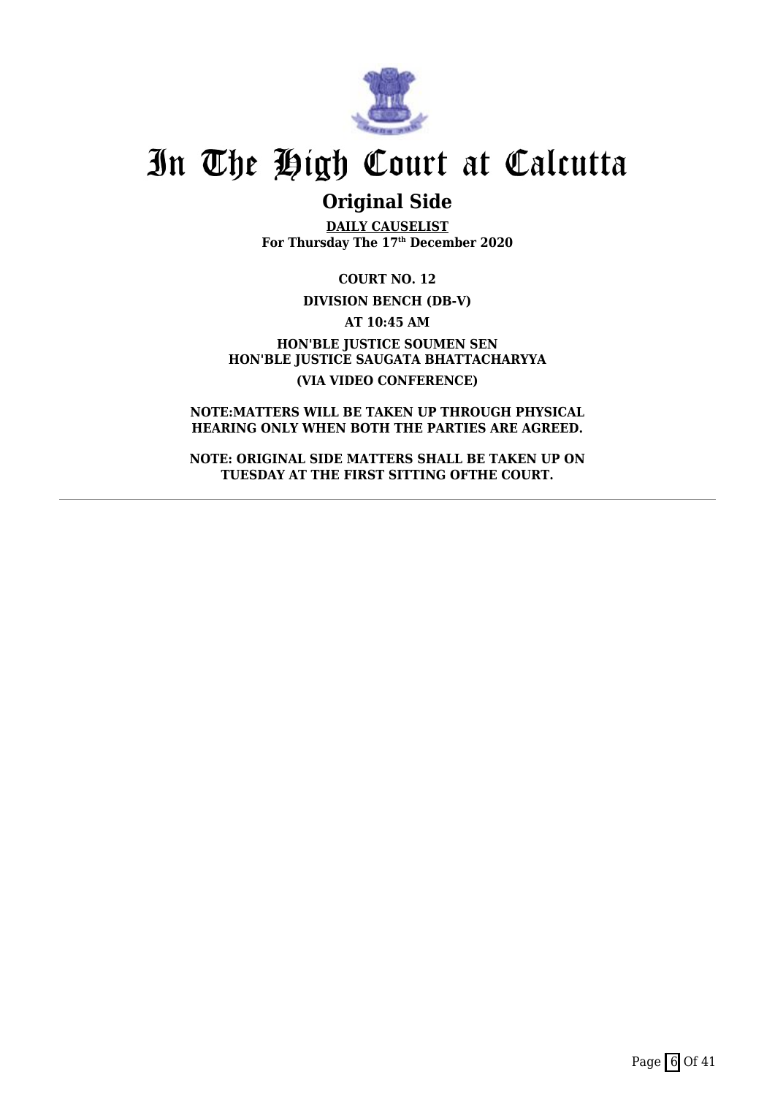

### **Original Side**

**DAILY CAUSELIST For Thursday The 17th December 2020**

**COURT NO. 12**

**DIVISION BENCH (DB-V)**

**AT 10:45 AM**

**HON'BLE JUSTICE SOUMEN SEN HON'BLE JUSTICE SAUGATA BHATTACHARYYA (VIA VIDEO CONFERENCE)**

**NOTE:MATTERS WILL BE TAKEN UP THROUGH PHYSICAL HEARING ONLY WHEN BOTH THE PARTIES ARE AGREED.**

**NOTE: ORIGINAL SIDE MATTERS SHALL BE TAKEN UP ON TUESDAY AT THE FIRST SITTING OFTHE COURT.**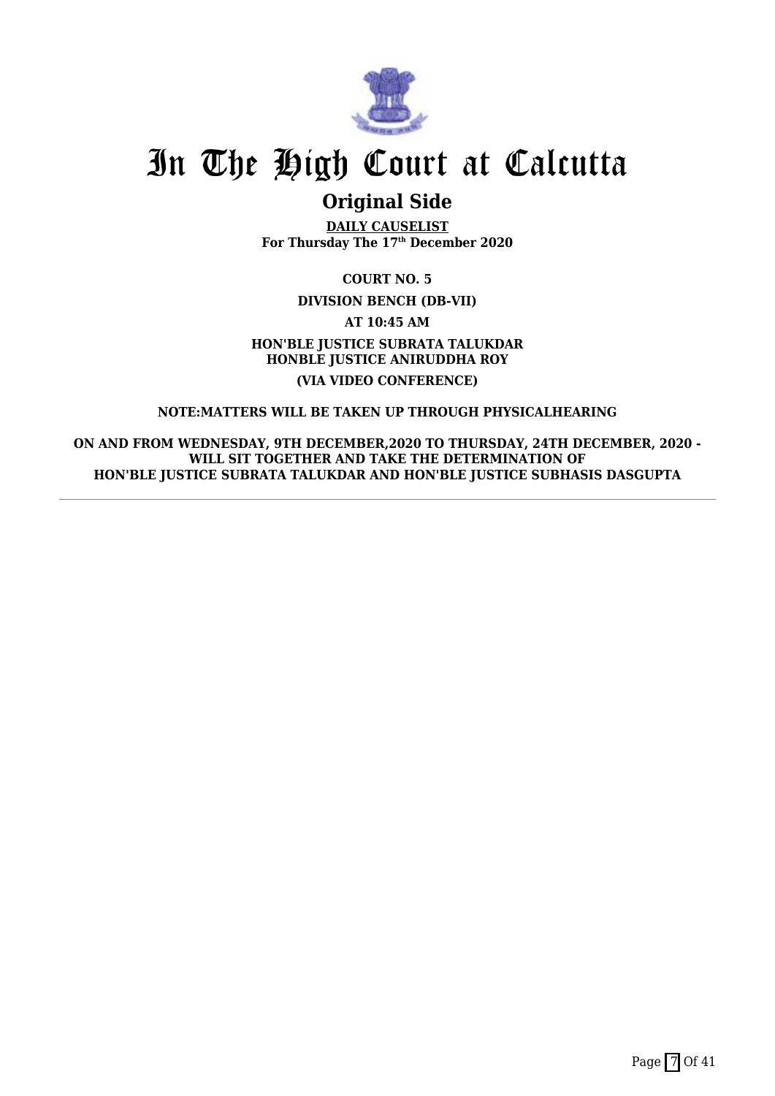

### **Original Side**

**DAILY CAUSELIST For Thursday The 17th December 2020**

**COURT NO. 5**

**DIVISION BENCH (DB-VII)**

**AT 10:45 AM**

**HON'BLE JUSTICE SUBRATA TALUKDAR HONBLE JUSTICE ANIRUDDHA ROY (VIA VIDEO CONFERENCE)**

#### **NOTE:MATTERS WILL BE TAKEN UP THROUGH PHYSICALHEARING**

**ON AND FROM WEDNESDAY, 9TH DECEMBER,2020 TO THURSDAY, 24TH DECEMBER, 2020 - WILL SIT TOGETHER AND TAKE THE DETERMINATION OF HON'BLE JUSTICE SUBRATA TALUKDAR AND HON'BLE JUSTICE SUBHASIS DASGUPTA**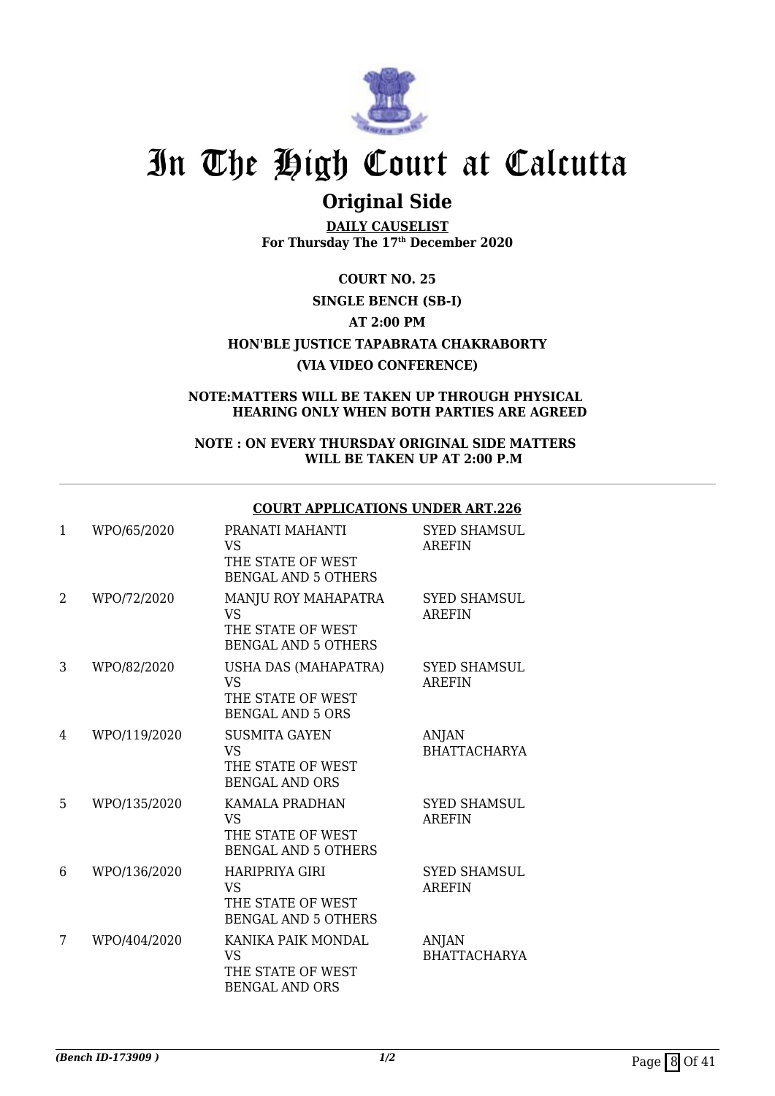

### **Original Side**

**DAILY CAUSELIST For Thursday The 17th December 2020**

**COURT NO. 25 SINGLE BENCH (SB-I) AT 2:00 PM HON'BLE JUSTICE TAPABRATA CHAKRABORTY (VIA VIDEO CONFERENCE)**

#### **NOTE:MATTERS WILL BE TAKEN UP THROUGH PHYSICAL HEARING ONLY WHEN BOTH PARTIES ARE AGREED**

#### **NOTE : ON EVERY THURSDAY ORIGINAL SIDE MATTERS WILL BE TAKEN UP AT 2:00 P.M**

#### **COURT APPLICATIONS UNDER ART.226**

| 1 | WPO/65/2020  | PRANATI MAHANTI<br><b>VS</b><br>THE STATE OF WEST<br><b>BENGAL AND 5 OTHERS</b>       | <b>SYED SHAMSUL</b><br><b>AREFIN</b> |
|---|--------------|---------------------------------------------------------------------------------------|--------------------------------------|
| 2 | WPO/72/2020  | MANJU ROY MAHAPATRA<br><b>VS</b><br>THE STATE OF WEST<br><b>BENGAL AND 5 OTHERS</b>   | <b>SYED SHAMSUL</b><br><b>AREFIN</b> |
| 3 | WPO/82/2020  | USHA DAS (MAHAPATRA)<br><b>VS</b><br>THE STATE OF WEST<br><b>BENGAL AND 5 ORS</b>     | <b>SYED SHAMSUL</b><br><b>AREFIN</b> |
| 4 | WPO/119/2020 | <b>SUSMITA GAYEN</b><br><b>VS</b><br>THE STATE OF WEST<br><b>BENGAL AND ORS</b>       | <b>ANJAN</b><br><b>BHATTACHARYA</b>  |
| 5 | WPO/135/2020 | KAMALA PRADHAN<br><b>VS</b><br>THE STATE OF WEST<br><b>BENGAL AND 5 OTHERS</b>        | <b>SYED SHAMSUL</b><br><b>AREFIN</b> |
| 6 | WPO/136/2020 | <b>HARIPRIYA GIRI</b><br><b>VS</b><br>THE STATE OF WEST<br><b>BENGAL AND 5 OTHERS</b> | <b>SYED SHAMSUL</b><br><b>AREFIN</b> |
| 7 | WPO/404/2020 | KANIKA PAIK MONDAL<br><b>VS</b><br>THE STATE OF WEST<br><b>BENGAL AND ORS</b>         | ANJAN<br><b>BHATTACHARYA</b>         |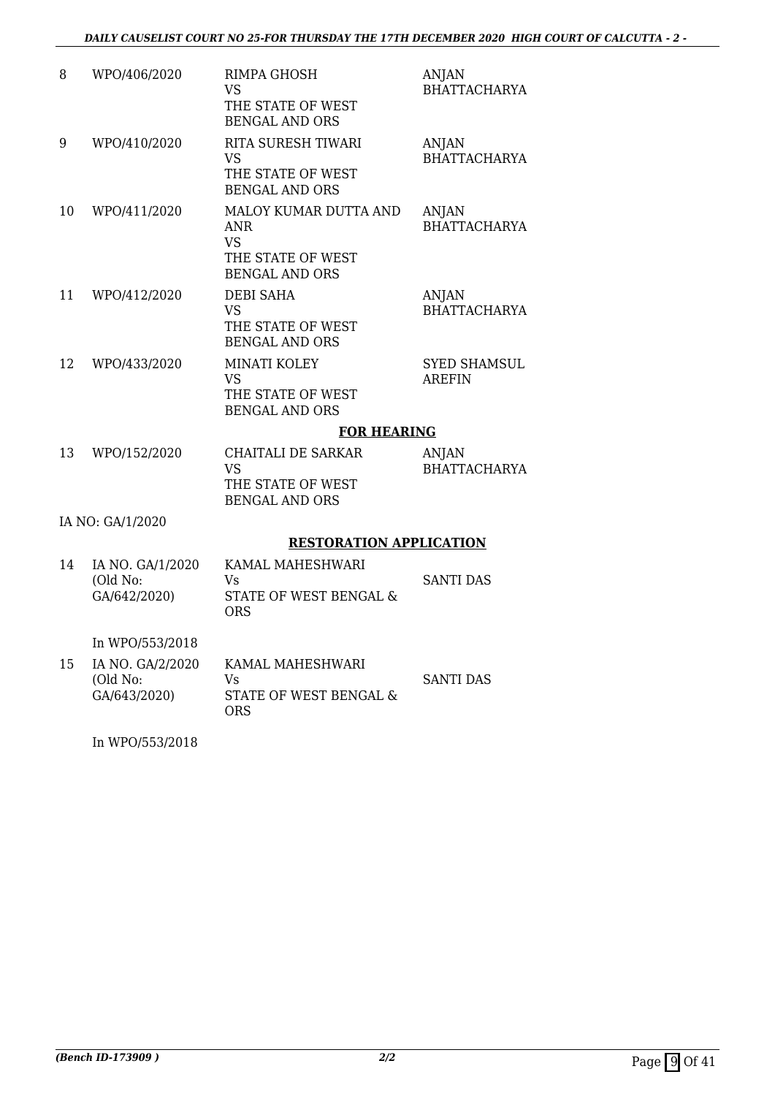| 8  | WPO/406/2020                                 | RIMPA GHOSH<br><b>VS</b><br>THE STATE OF WEST<br><b>BENGAL AND ORS</b>                   | <b>ANJAN</b><br><b>BHATTACHARYA</b>  |
|----|----------------------------------------------|------------------------------------------------------------------------------------------|--------------------------------------|
| 9  | WPO/410/2020                                 | RITA SURESH TIWARI<br><b>VS</b><br>THE STATE OF WEST<br><b>BENGAL AND ORS</b>            | <b>ANJAN</b><br><b>BHATTACHARYA</b>  |
| 10 | WPO/411/2020                                 | MALOY KUMAR DUTTA AND<br>ANR.<br><b>VS</b><br>THE STATE OF WEST<br><b>BENGAL AND ORS</b> | <b>ANJAN</b><br><b>BHATTACHARYA</b>  |
| 11 | WPO/412/2020                                 | <b>DEBI SAHA</b><br><b>VS</b><br>THE STATE OF WEST<br><b>BENGAL AND ORS</b>              | <b>ANJAN</b><br><b>BHATTACHARYA</b>  |
| 12 | WPO/433/2020                                 | <b>MINATI KOLEY</b><br><b>VS</b><br>THE STATE OF WEST<br><b>BENGAL AND ORS</b>           | <b>SYED SHAMSUL</b><br><b>AREFIN</b> |
|    |                                              | <b>FOR HEARING</b>                                                                       |                                      |
| 13 | WPO/152/2020                                 | <b>CHAITALI DE SARKAR</b><br><b>VS</b><br>THE STATE OF WEST<br><b>BENGAL AND ORS</b>     | <b>ANJAN</b><br><b>BHATTACHARYA</b>  |
|    | IA NO: GA/1/2020                             |                                                                                          |                                      |
|    |                                              | <b>RESTORATION APPLICATION</b>                                                           |                                      |
| 14 | IA NO. GA/1/2020<br>(Old No:<br>GA/642/2020) | KAMAL MAHESHWARI<br>Vs<br>STATE OF WEST BENGAL &<br><b>ORS</b>                           | SANTI DAS                            |
|    | In WPO/553/2018                              |                                                                                          |                                      |
| 15 | IA NO. GA/2/2020<br>(Old No:<br>GA/643/2020) | KAMAL MAHESHWARI<br>Vs<br>STATE OF WEST BENGAL &<br><b>ORS</b>                           | <b>SANTI DAS</b>                     |

In WPO/553/2018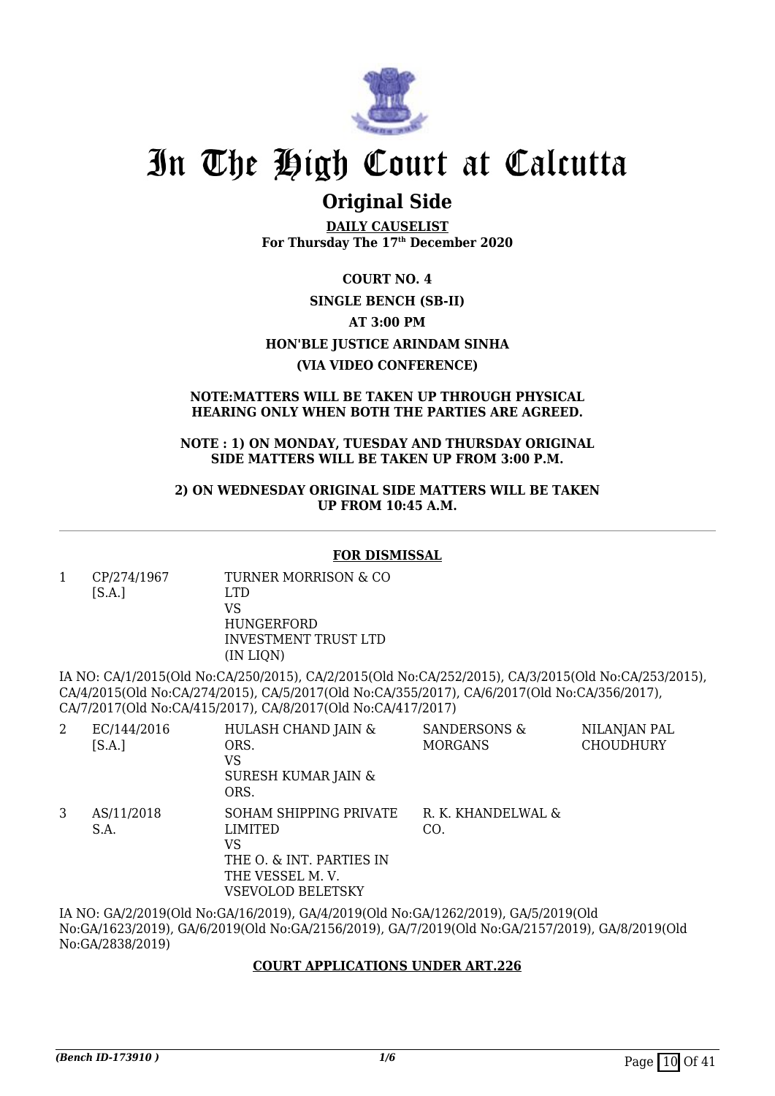

### **Original Side**

**DAILY CAUSELIST For Thursday The 17th December 2020**

**COURT NO. 4 SINGLE BENCH (SB-II) AT 3:00 PM HON'BLE JUSTICE ARINDAM SINHA (VIA VIDEO CONFERENCE)**

#### **NOTE:MATTERS WILL BE TAKEN UP THROUGH PHYSICAL HEARING ONLY WHEN BOTH THE PARTIES ARE AGREED.**

#### **NOTE : 1) ON MONDAY, TUESDAY AND THURSDAY ORIGINAL SIDE MATTERS WILL BE TAKEN UP FROM 3:00 P.M.**

**2) ON WEDNESDAY ORIGINAL SIDE MATTERS WILL BE TAKEN UP FROM 10:45 A.M.**

#### **FOR DISMISSAL**

1 CP/274/1967  $[S.A.]$ TURNER MORRISON & CO LTD VS HUNGERFORD

INVESTMENT TRUST LTD (IN LIQN)

IA NO: CA/1/2015(Old No:CA/250/2015), CA/2/2015(Old No:CA/252/2015), CA/3/2015(Old No:CA/253/2015), CA/4/2015(Old No:CA/274/2015), CA/5/2017(Old No:CA/355/2017), CA/6/2017(Old No:CA/356/2017), CA/7/2017(Old No:CA/415/2017), CA/8/2017(Old No:CA/417/2017)

| 2 | EC/144/2016<br>[S.A.] | HULASH CHAND JAIN &<br>ORS.<br>VS<br>SURESH KUMAR JAIN &<br>ORS.                                                   | <b>SANDERSONS &amp;</b><br><b>MORGANS</b> | NILANJAN PAL<br><b>CHOUDHURY</b> |
|---|-----------------------|--------------------------------------------------------------------------------------------------------------------|-------------------------------------------|----------------------------------|
| 3 | AS/11/2018<br>S.A.    | SOHAM SHIPPING PRIVATE<br>LIMITED<br>VS<br>THE O. & INT. PARTIES IN<br>THE VESSEL M.V.<br><b>VSEVOLOD BELETSKY</b> | R. K. KHANDELWAL &<br>CO.                 |                                  |
|   |                       |                                                                                                                    |                                           |                                  |

IA NO: GA/2/2019(Old No:GA/16/2019), GA/4/2019(Old No:GA/1262/2019), GA/5/2019(Old No:GA/1623/2019), GA/6/2019(Old No:GA/2156/2019), GA/7/2019(Old No:GA/2157/2019), GA/8/2019(Old No:GA/2838/2019)

#### **COURT APPLICATIONS UNDER ART.226**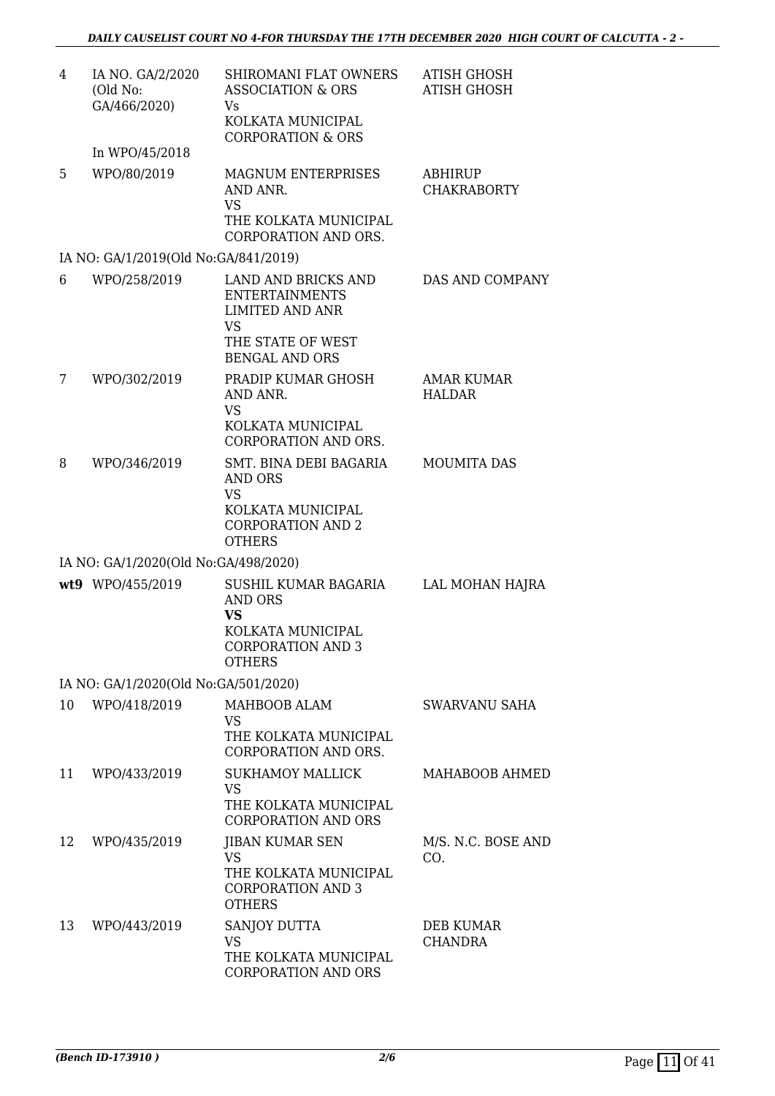| 4  | IA NO. GA/2/2020<br>(Old No:<br>GA/466/2020) | SHIROMANI FLAT OWNERS<br><b>ASSOCIATION &amp; ORS</b><br>Vs<br>KOLKATA MUNICIPAL<br><b>CORPORATION &amp; ORS</b> | <b>ATISH GHOSH</b><br><b>ATISH GHOSH</b> |
|----|----------------------------------------------|------------------------------------------------------------------------------------------------------------------|------------------------------------------|
|    | In WPO/45/2018                               |                                                                                                                  |                                          |
| 5  | WPO/80/2019                                  | <b>MAGNUM ENTERPRISES</b><br>AND ANR.<br><b>VS</b><br>THE KOLKATA MUNICIPAL<br>CORPORATION AND ORS.              | ABHIRUP<br><b>CHAKRABORTY</b>            |
|    | IA NO: GA/1/2019(Old No:GA/841/2019)         |                                                                                                                  |                                          |
| 6  | WPO/258/2019                                 | LAND AND BRICKS AND<br><b>ENTERTAINMENTS</b><br><b>LIMITED AND ANR</b><br><b>VS</b><br>THE STATE OF WEST         | DAS AND COMPANY                          |
|    |                                              | <b>BENGAL AND ORS</b>                                                                                            |                                          |
| 7  | WPO/302/2019                                 | PRADIP KUMAR GHOSH<br>AND ANR.<br><b>VS</b><br>KOLKATA MUNICIPAL<br>CORPORATION AND ORS.                         | <b>AMAR KUMAR</b><br><b>HALDAR</b>       |
| 8  | WPO/346/2019                                 | SMT. BINA DEBI BAGARIA<br>AND ORS<br><b>VS</b><br>KOLKATA MUNICIPAL<br><b>CORPORATION AND 2</b><br><b>OTHERS</b> | <b>MOUMITA DAS</b>                       |
|    | IA NO: GA/1/2020(Old No:GA/498/2020)         |                                                                                                                  |                                          |
|    | wt9 WPO/455/2019                             | SUSHIL KUMAR BAGARIA<br><b>AND ORS</b><br>VS<br>KOLKATA MUNICIPAL<br><b>CORPORATION AND 3</b><br><b>OTHERS</b>   | LAL MOHAN HAJRA                          |
|    | IA NO: GA/1/2020(Old No:GA/501/2020)         |                                                                                                                  |                                          |
| 10 | WPO/418/2019                                 | MAHBOOB ALAM<br><b>VS</b><br>THE KOLKATA MUNICIPAL<br><b>CORPORATION AND ORS.</b>                                | SWARVANU SAHA                            |
| 11 | WPO/433/2019                                 | <b>SUKHAMOY MALLICK</b><br><b>VS</b><br>THE KOLKATA MUNICIPAL<br><b>CORPORATION AND ORS</b>                      | MAHABOOB AHMED                           |
| 12 | WPO/435/2019                                 | JIBAN KUMAR SEN<br><b>VS</b><br>THE KOLKATA MUNICIPAL<br><b>CORPORATION AND 3</b><br><b>OTHERS</b>               | M/S. N.C. BOSE AND<br>CO.                |
| 13 | WPO/443/2019                                 | SANJOY DUTTA<br><b>VS</b><br>THE KOLKATA MUNICIPAL<br><b>CORPORATION AND ORS</b>                                 | <b>DEB KUMAR</b><br><b>CHANDRA</b>       |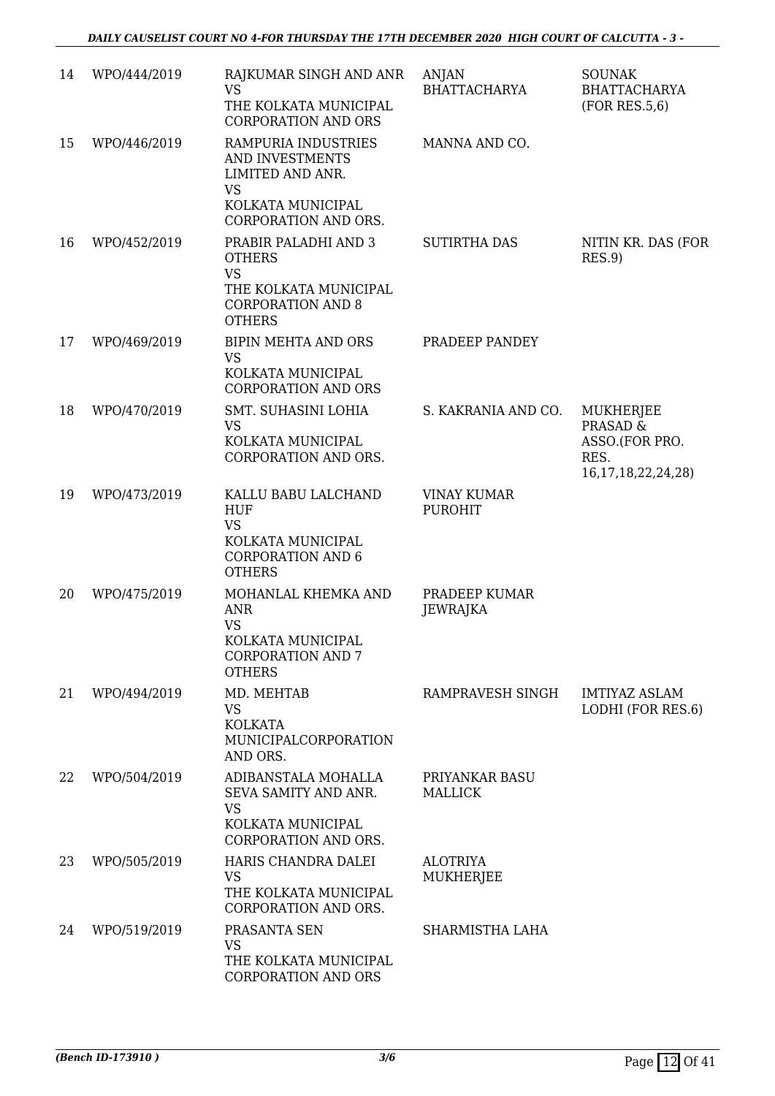| 14 | WPO/444/2019 | RAJKUMAR SINGH AND ANR<br><b>VS</b><br>THE KOLKATA MUNICIPAL<br><b>CORPORATION AND ORS</b>                                                       | ANJAN<br><b>BHATTACHARYA</b>         | <b>SOUNAK</b><br><b>BHATTACHARYA</b><br>(FOR RES.5, 6)                                |
|----|--------------|--------------------------------------------------------------------------------------------------------------------------------------------------|--------------------------------------|---------------------------------------------------------------------------------------|
| 15 | WPO/446/2019 | RAMPURIA INDUSTRIES<br>AND INVESTMENTS<br>LIMITED AND ANR.<br><b>VS</b><br>KOLKATA MUNICIPAL                                                     | MANNA AND CO.                        |                                                                                       |
| 16 | WPO/452/2019 | CORPORATION AND ORS.<br>PRABIR PALADHI AND 3<br><b>OTHERS</b><br><b>VS</b><br>THE KOLKATA MUNICIPAL<br><b>CORPORATION AND 8</b><br><b>OTHERS</b> | <b>SUTIRTHA DAS</b>                  | NITIN KR. DAS (FOR<br>RES.9                                                           |
| 17 | WPO/469/2019 | <b>BIPIN MEHTA AND ORS</b><br><b>VS</b><br>KOLKATA MUNICIPAL<br><b>CORPORATION AND ORS</b>                                                       | PRADEEP PANDEY                       |                                                                                       |
| 18 | WPO/470/2019 | SMT. SUHASINI LOHIA<br><b>VS</b><br>KOLKATA MUNICIPAL<br>CORPORATION AND ORS.                                                                    | S. KAKRANIA AND CO.                  | MUKHERJEE<br><b>PRASAD &amp;</b><br>ASSO.(FOR PRO.<br>RES.<br>16, 17, 18, 22, 24, 28) |
| 19 | WPO/473/2019 | KALLU BABU LALCHAND<br><b>HUF</b><br><b>VS</b><br>KOLKATA MUNICIPAL<br><b>CORPORATION AND 6</b><br><b>OTHERS</b>                                 | <b>VINAY KUMAR</b><br><b>PUROHIT</b> |                                                                                       |
| 20 | WPO/475/2019 | MOHANLAL KHEMKA AND<br><b>ANR</b><br><b>VS</b><br>KOLKATA MUNICIPAL<br><b>CORPORATION AND 7</b><br><b>OTHERS</b>                                 | PRADEEP KUMAR<br>JEWRAJKA            |                                                                                       |
| 21 | WPO/494/2019 | MD. MEHTAB<br><b>VS</b><br><b>KOLKATA</b><br>MUNICIPALCORPORATION<br>AND ORS.                                                                    | RAMPRAVESH SINGH                     | <b>IMTIYAZ ASLAM</b><br>LODHI (FOR RES.6)                                             |
| 22 | WPO/504/2019 | ADIBANSTALA MOHALLA<br>SEVA SAMITY AND ANR.<br><b>VS</b><br>KOLKATA MUNICIPAL<br>CORPORATION AND ORS.                                            | PRIYANKAR BASU<br><b>MALLICK</b>     |                                                                                       |
| 23 | WPO/505/2019 | HARIS CHANDRA DALEI<br><b>VS</b><br>THE KOLKATA MUNICIPAL<br>CORPORATION AND ORS.                                                                | <b>ALOTRIYA</b><br><b>MUKHERJEE</b>  |                                                                                       |
| 24 | WPO/519/2019 | PRASANTA SEN<br><b>VS</b><br>THE KOLKATA MUNICIPAL<br>CORPORATION AND ORS                                                                        | SHARMISTHA LAHA                      |                                                                                       |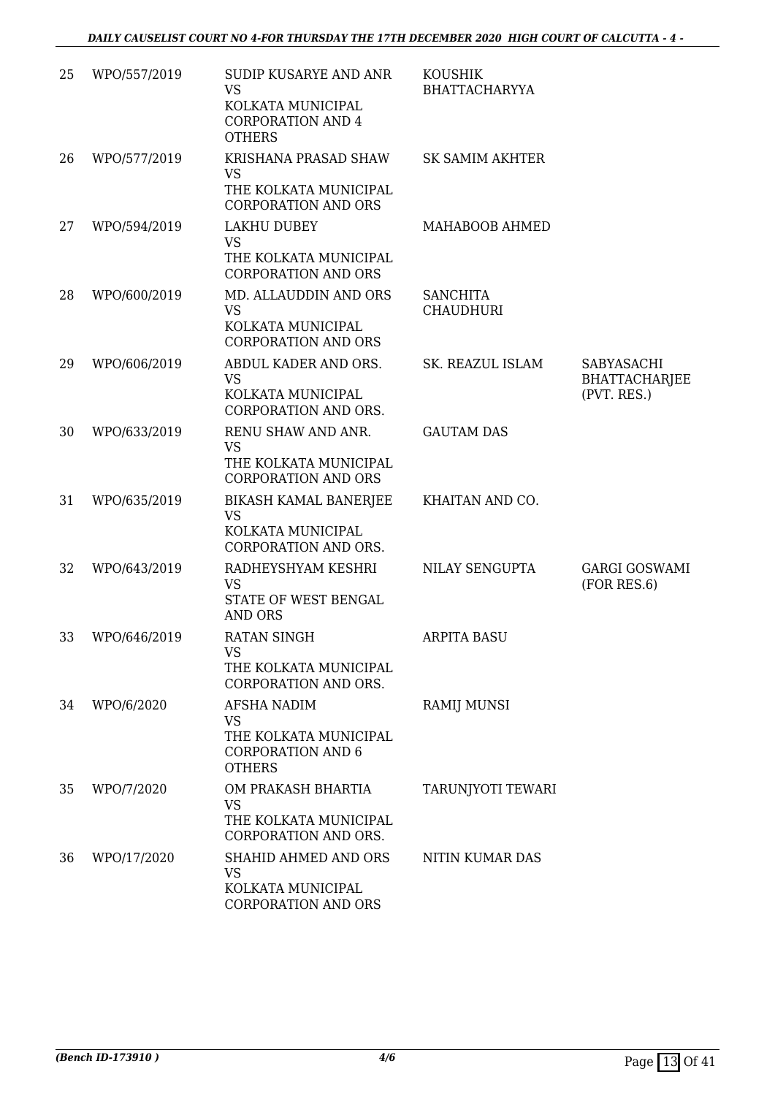| 25 | WPO/557/2019 | SUDIP KUSARYE AND ANR<br><b>VS</b><br>KOLKATA MUNICIPAL<br><b>CORPORATION AND 4</b><br><b>OTHERS</b> | <b>KOUSHIK</b><br><b>BHATTACHARYYA</b> |                                                          |
|----|--------------|------------------------------------------------------------------------------------------------------|----------------------------------------|----------------------------------------------------------|
| 26 | WPO/577/2019 | KRISHANA PRASAD SHAW<br><b>VS</b><br>THE KOLKATA MUNICIPAL<br><b>CORPORATION AND ORS</b>             | <b>SK SAMIM AKHTER</b>                 |                                                          |
| 27 | WPO/594/2019 | LAKHU DUBEY<br><b>VS</b><br>THE KOLKATA MUNICIPAL<br><b>CORPORATION AND ORS</b>                      | MAHABOOB AHMED                         |                                                          |
| 28 | WPO/600/2019 | MD. ALLAUDDIN AND ORS<br><b>VS</b><br>KOLKATA MUNICIPAL<br><b>CORPORATION AND ORS</b>                | <b>SANCHITA</b><br><b>CHAUDHURI</b>    |                                                          |
| 29 | WPO/606/2019 | ABDUL KADER AND ORS.<br><b>VS</b><br>KOLKATA MUNICIPAL<br>CORPORATION AND ORS.                       | SK. REAZUL ISLAM                       | <b>SABYASACHI</b><br><b>BHATTACHARJEE</b><br>(PVT. RES.) |
| 30 | WPO/633/2019 | RENU SHAW AND ANR.<br><b>VS</b><br>THE KOLKATA MUNICIPAL<br><b>CORPORATION AND ORS</b>               | <b>GAUTAM DAS</b>                      |                                                          |
| 31 | WPO/635/2019 | BIKASH KAMAL BANERJEE<br><b>VS</b><br>KOLKATA MUNICIPAL<br>CORPORATION AND ORS.                      | KHAITAN AND CO.                        |                                                          |
| 32 | WPO/643/2019 | RADHEYSHYAM KESHRI<br><b>VS</b><br>STATE OF WEST BENGAL<br><b>AND ORS</b>                            | NILAY SENGUPTA                         | <b>GARGI GOSWAMI</b><br>(FOR RES.6)                      |
| 33 | WPO/646/2019 | <b>RATAN SINGH</b><br><b>VS</b><br>THE KOLKATA MUNICIPAL<br>CORPORATION AND ORS.                     | <b>ARPITA BASU</b>                     |                                                          |
| 34 | WPO/6/2020   | AFSHA NADIM<br><b>VS</b><br>THE KOLKATA MUNICIPAL<br><b>CORPORATION AND 6</b><br><b>OTHERS</b>       | <b>RAMIJ MUNSI</b>                     |                                                          |
| 35 | WPO/7/2020   | OM PRAKASH BHARTIA<br><b>VS</b><br>THE KOLKATA MUNICIPAL<br>CORPORATION AND ORS.                     | TARUNJYOTI TEWARI                      |                                                          |
| 36 | WPO/17/2020  | SHAHID AHMED AND ORS<br><b>VS</b><br>KOLKATA MUNICIPAL<br><b>CORPORATION AND ORS</b>                 | NITIN KUMAR DAS                        |                                                          |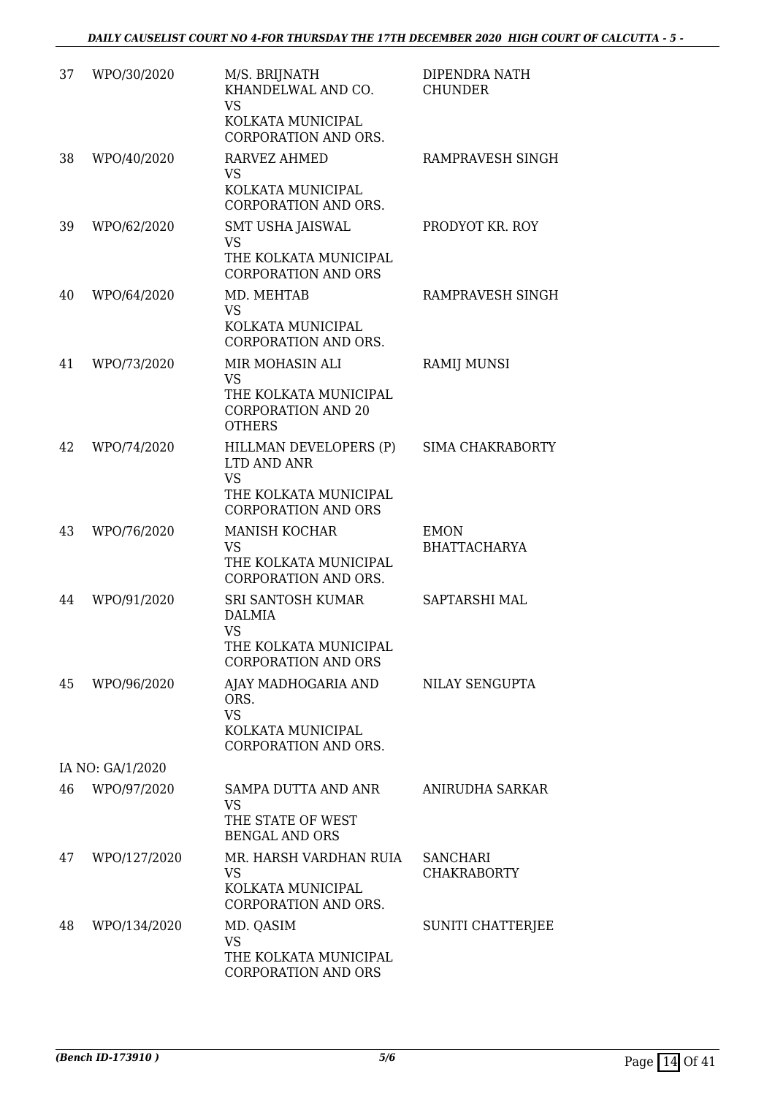| 37 | WPO/30/2020      | M/S. BRIJNATH<br>KHANDELWAL AND CO.<br><b>VS</b><br>KOLKATA MUNICIPAL<br>CORPORATION AND ORS.             | DIPENDRA NATH<br><b>CHUNDER</b>       |
|----|------------------|-----------------------------------------------------------------------------------------------------------|---------------------------------------|
| 38 | WPO/40/2020      | <b>RARVEZ AHMED</b><br><b>VS</b><br>KOLKATA MUNICIPAL<br>CORPORATION AND ORS.                             | RAMPRAVESH SINGH                      |
| 39 | WPO/62/2020      | <b>SMT USHA JAISWAL</b><br><b>VS</b><br>THE KOLKATA MUNICIPAL<br><b>CORPORATION AND ORS</b>               | PRODYOT KR. ROY                       |
| 40 | WPO/64/2020      | MD. MEHTAB<br><b>VS</b><br>KOLKATA MUNICIPAL<br><b>CORPORATION AND ORS.</b>                               | RAMPRAVESH SINGH                      |
| 41 | WPO/73/2020      | MIR MOHASIN ALI<br><b>VS</b><br>THE KOLKATA MUNICIPAL<br><b>CORPORATION AND 20</b><br><b>OTHERS</b>       | <b>RAMIJ MUNSI</b>                    |
| 42 | WPO/74/2020      | HILLMAN DEVELOPERS (P)<br>LTD AND ANR<br><b>VS</b><br>THE KOLKATA MUNICIPAL<br><b>CORPORATION AND ORS</b> | <b>SIMA CHAKRABORTY</b>               |
| 43 | WPO/76/2020      | <b>MANISH KOCHAR</b><br><b>VS</b><br>THE KOLKATA MUNICIPAL<br>CORPORATION AND ORS.                        | <b>EMON</b><br><b>BHATTACHARYA</b>    |
| 44 | WPO/91/2020      | SRI SANTOSH KUMAR<br>DALMIA<br><b>VS</b><br>THE KOLKATA MUNICIPAL<br><b>CORPORATION AND ORS</b>           | SAPTARSHI MAL                         |
| 45 | WPO/96/2020      | AJAY MADHOGARIA AND<br>ORS.<br><b>VS</b><br>KOLKATA MUNICIPAL<br>CORPORATION AND ORS.                     | NILAY SENGUPTA                        |
|    | IA NO: GA/1/2020 |                                                                                                           |                                       |
| 46 | WPO/97/2020      | <b>SAMPA DUTTA AND ANR</b><br><b>VS</b><br>THE STATE OF WEST<br><b>BENGAL AND ORS</b>                     | ANIRUDHA SARKAR                       |
| 47 | WPO/127/2020     | MR. HARSH VARDHAN RUIA<br><b>VS</b><br>KOLKATA MUNICIPAL<br>CORPORATION AND ORS.                          | <b>SANCHARI</b><br><b>CHAKRABORTY</b> |
| 48 | WPO/134/2020     | MD. QASIM<br><b>VS</b><br>THE KOLKATA MUNICIPAL<br><b>CORPORATION AND ORS</b>                             | SUNITI CHATTERJEE                     |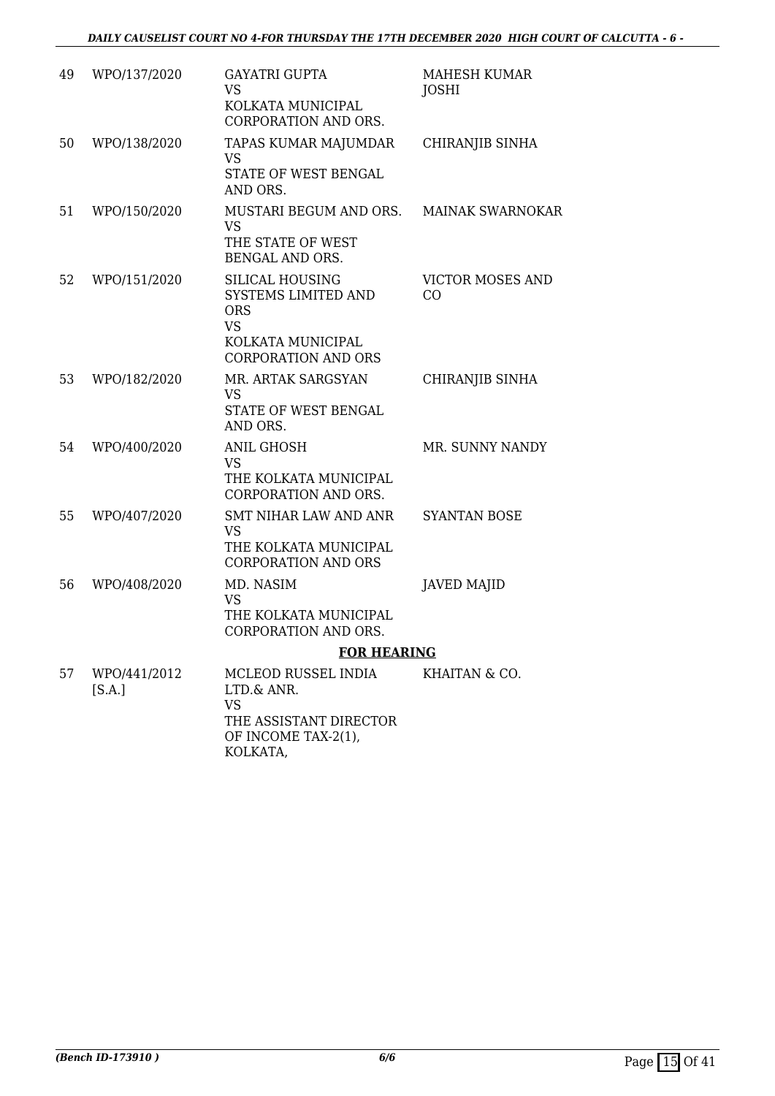| 49 | WPO/137/2020           | <b>GAYATRI GUPTA</b><br><b>VS</b><br>KOLKATA MUNICIPAL<br>CORPORATION AND ORS.                                              | MAHESH KUMAR<br>JOSHI         |
|----|------------------------|-----------------------------------------------------------------------------------------------------------------------------|-------------------------------|
| 50 | WPO/138/2020           | TAPAS KUMAR MAJUMDAR<br><b>VS</b><br>STATE OF WEST BENGAL<br>AND ORS.                                                       | CHIRANJIB SINHA               |
| 51 | WPO/150/2020           | MUSTARI BEGUM AND ORS.<br><b>VS</b><br>THE STATE OF WEST<br>BENGAL AND ORS.                                                 | <b>MAINAK SWARNOKAR</b>       |
| 52 | WPO/151/2020           | <b>SILICAL HOUSING</b><br>SYSTEMS LIMITED AND<br><b>ORS</b><br><b>VS</b><br>KOLKATA MUNICIPAL<br><b>CORPORATION AND ORS</b> | <b>VICTOR MOSES AND</b><br>CO |
| 53 | WPO/182/2020           | MR. ARTAK SARGSYAN<br><b>VS</b><br>STATE OF WEST BENGAL<br>AND ORS.                                                         | CHIRANJIB SINHA               |
| 54 | WPO/400/2020           | <b>ANIL GHOSH</b><br><b>VS</b><br>THE KOLKATA MUNICIPAL<br>CORPORATION AND ORS.                                             | MR. SUNNY NANDY               |
| 55 | WPO/407/2020           | <b>SMT NIHAR LAW AND ANR</b><br><b>VS</b><br>THE KOLKATA MUNICIPAL<br><b>CORPORATION AND ORS</b>                            | <b>SYANTAN BOSE</b>           |
| 56 | WPO/408/2020           | MD. NASIM<br><b>VS</b><br>THE KOLKATA MUNICIPAL<br>CORPORATION AND ORS.                                                     | <b>JAVED MAJID</b>            |
|    |                        | <b>FOR HEARING</b>                                                                                                          |                               |
| 57 | WPO/441/2012<br>[S.A.] | MCLEOD RUSSEL INDIA<br>LTD.& ANR.<br><b>VS</b><br>THE ASSISTANT DIRECTOR<br>OF INCOME TAX-2(1),<br>KOLKATA,                 | KHAITAN & CO.                 |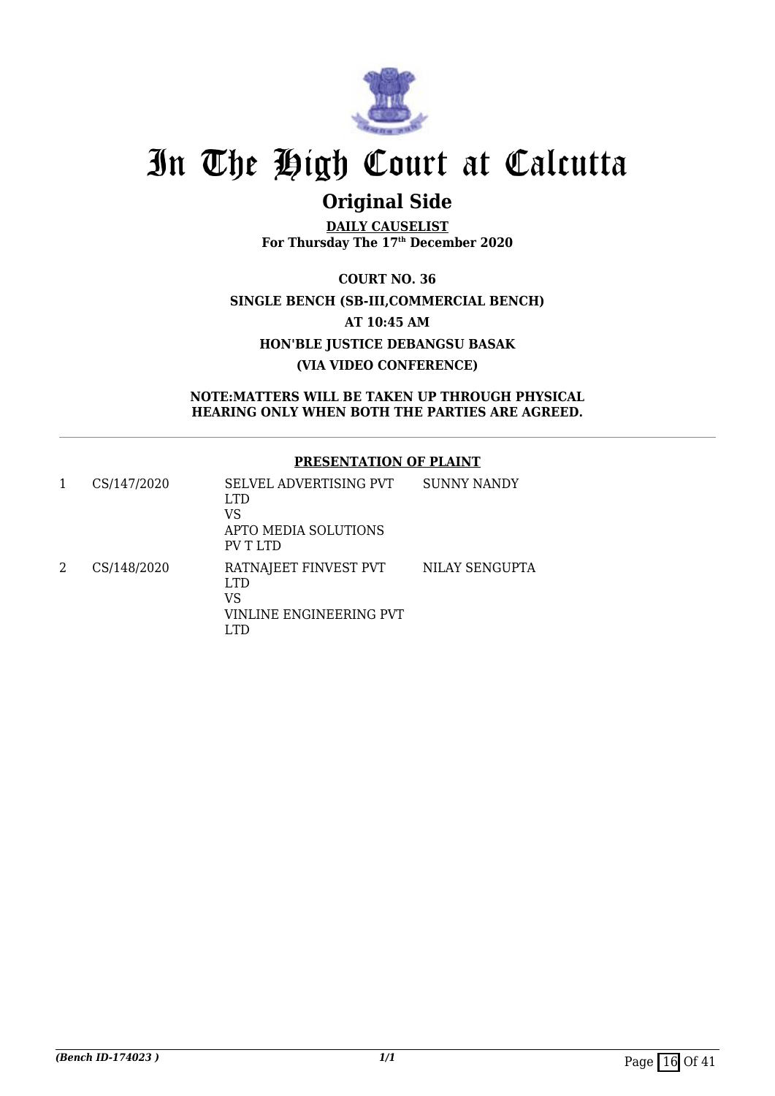

## **Original Side**

**DAILY CAUSELIST For Thursday The 17th December 2020**

**COURT NO. 36 SINGLE BENCH (SB-III,COMMERCIAL BENCH) AT 10:45 AM HON'BLE JUSTICE DEBANGSU BASAK (VIA VIDEO CONFERENCE)**

**NOTE:MATTERS WILL BE TAKEN UP THROUGH PHYSICAL HEARING ONLY WHEN BOTH THE PARTIES ARE AGREED.**

#### **PRESENTATION OF PLAINT**

| CS/147/2020 | SELVEL ADVERTISING PVT<br>LTD.<br>VS<br>APTO MEDIA SOLUTIONS<br>PV T LTD | SUNNY NANDY    |
|-------------|--------------------------------------------------------------------------|----------------|
| CS/148/2020 | RATNAJEET FINVEST PVT<br>LTD.<br>VS<br>VINLINE ENGINEERING PVT           | NILAY SENGUPTA |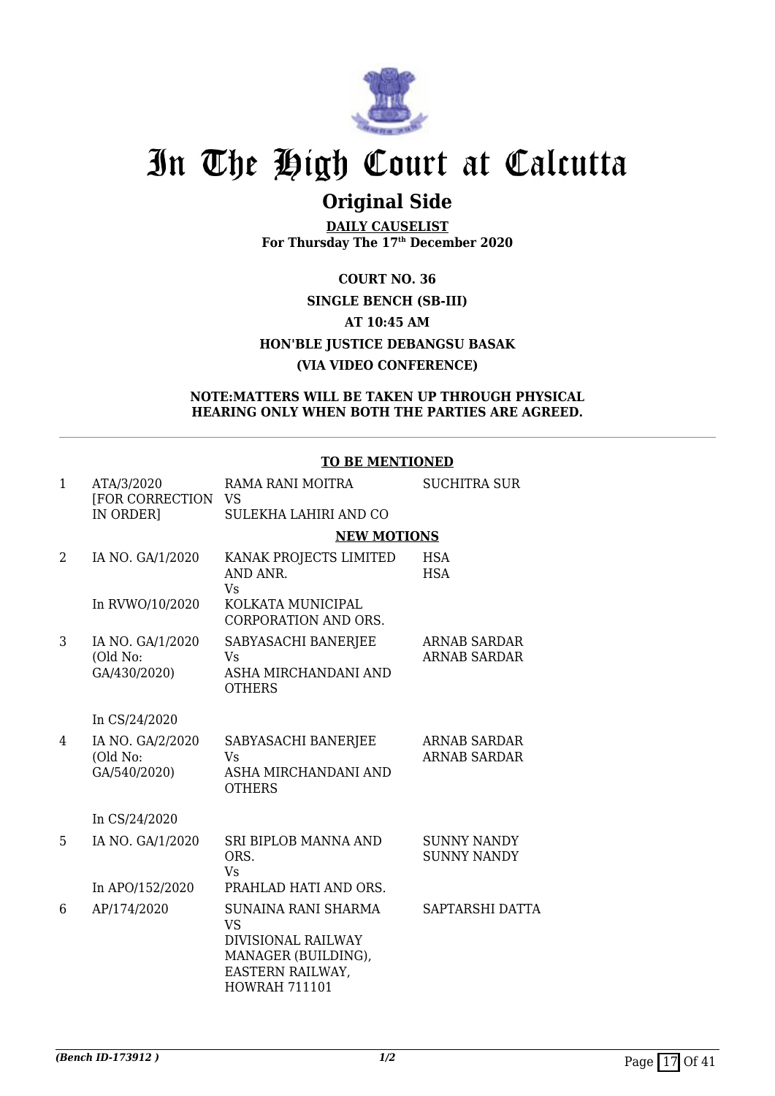

### **Original Side**

**DAILY CAUSELIST For Thursday The 17th December 2020**

### **COURT NO. 36 SINGLE BENCH (SB-III) AT 10:45 AM HON'BLE JUSTICE DEBANGSU BASAK (VIA VIDEO CONFERENCE)**

#### **NOTE:MATTERS WILL BE TAKEN UP THROUGH PHYSICAL HEARING ONLY WHEN BOTH THE PARTIES ARE AGREED.**

#### **TO BE MENTIONED**

| $\mathbf{1}$ | ATA/3/2020<br>[FOR CORRECTION                | RAMA RANI MOITRA<br><b>VS</b>                                                                                             | <b>SUCHITRA SUR</b>                        |
|--------------|----------------------------------------------|---------------------------------------------------------------------------------------------------------------------------|--------------------------------------------|
|              | IN ORDER]                                    | SULEKHA LAHIRI AND CO                                                                                                     |                                            |
|              |                                              | <b>NEW MOTIONS</b>                                                                                                        |                                            |
| 2            | IA NO. GA/1/2020                             | KANAK PROJECTS LIMITED<br>AND ANR.<br><b>Vs</b>                                                                           | <b>HSA</b><br><b>HSA</b>                   |
|              | In RVWO/10/2020                              | KOLKATA MUNICIPAL<br><b>CORPORATION AND ORS.</b>                                                                          |                                            |
| 3            | IA NO. GA/1/2020<br>(Old No:<br>GA/430/2020) | SABYASACHI BANERJEE<br>Vs<br>ASHA MIRCHANDANI AND<br><b>OTHERS</b>                                                        | ARNAB SARDAR<br><b>ARNAB SARDAR</b>        |
|              | In CS/24/2020                                |                                                                                                                           |                                            |
| 4            | IA NO. GA/2/2020<br>(Old No:<br>GA/540/2020) | SABYASACHI BANERJEE<br><b>V<sub>S</sub></b><br>ASHA MIRCHANDANI AND<br><b>OTHERS</b>                                      | <b>ARNAB SARDAR</b><br><b>ARNAB SARDAR</b> |
|              | In CS/24/2020                                |                                                                                                                           |                                            |
| 5            | IA NO. GA/1/2020                             | <b>SRI BIPLOB MANNA AND</b><br>ORS.<br><b>Vs</b>                                                                          | <b>SUNNY NANDY</b><br><b>SUNNY NANDY</b>   |
|              | In APO/152/2020                              | PRAHLAD HATI AND ORS.                                                                                                     |                                            |
| 6            | AP/174/2020                                  | SUNAINA RANI SHARMA<br><b>VS</b><br>DIVISIONAL RAILWAY<br>MANAGER (BUILDING),<br>EASTERN RAILWAY,<br><b>HOWRAH 711101</b> | SAPTARSHI DATTA                            |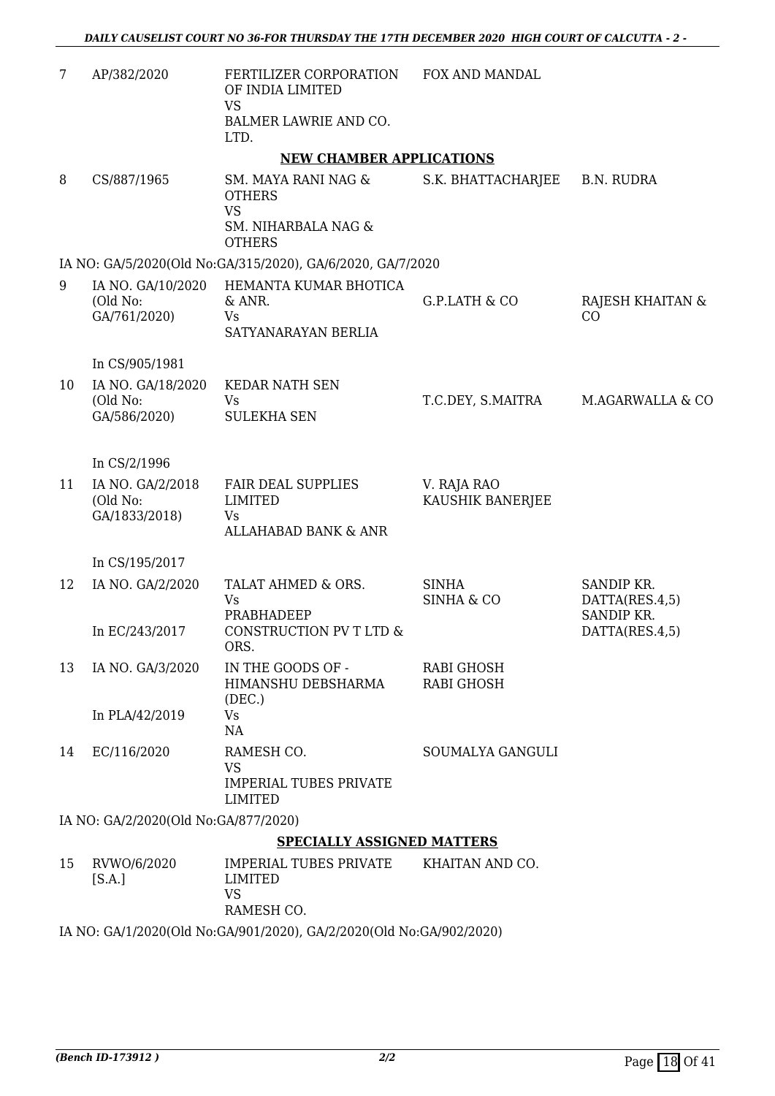| 7  | AP/382/2020                                   | FERTILIZER CORPORATION<br>OF INDIA LIMITED<br><b>VS</b><br>BALMER LAWRIE AND CO.          | FOX AND MANDAL                         |                              |
|----|-----------------------------------------------|-------------------------------------------------------------------------------------------|----------------------------------------|------------------------------|
|    |                                               | LTD.                                                                                      |                                        |                              |
|    |                                               | <b>NEW CHAMBER APPLICATIONS</b>                                                           |                                        |                              |
| 8  | CS/887/1965                                   | SM. MAYA RANI NAG &<br><b>OTHERS</b><br><b>VS</b><br>SM. NIHARBALA NAG &<br><b>OTHERS</b> | S.K. BHATTACHARJEE                     | <b>B.N. RUDRA</b>            |
|    |                                               | IA NO: GA/5/2020(Old No:GA/315/2020), GA/6/2020, GA/7/2020                                |                                        |                              |
| 9  | IA NO. GA/10/2020<br>(Old No:<br>GA/761/2020) | HEMANTA KUMAR BHOTICA<br>& ANR.<br>Vs<br>SATYANARAYAN BERLIA                              | G.P.LATH & CO                          | RAJESH KHAITAN &<br>CO       |
|    | In CS/905/1981                                |                                                                                           |                                        |                              |
| 10 | IA NO. GA/18/2020<br>(Old No:<br>GA/586/2020) | <b>KEDAR NATH SEN</b><br>Vs<br><b>SULEKHA SEN</b>                                         | T.C.DEY, S.MAITRA                      | M.AGARWALLA & CO             |
|    | In CS/2/1996                                  |                                                                                           |                                        |                              |
| 11 | IA NO. GA/2/2018<br>(Old No:<br>GA/1833/2018) | <b>FAIR DEAL SUPPLIES</b><br><b>LIMITED</b><br>Vs<br><b>ALLAHABAD BANK &amp; ANR</b>      | V. RAJA RAO<br>KAUSHIK BANERJEE        |                              |
|    | In CS/195/2017                                |                                                                                           |                                        |                              |
| 12 | IA NO. GA/2/2020                              | TALAT AHMED & ORS.<br>Vs                                                                  | <b>SINHA</b><br><b>SINHA &amp; CO</b>  | SANDIP KR.<br>DATTA(RES.4,5) |
|    | In EC/243/2017                                | PRABHADEEP<br>CONSTRUCTION PV T LTD &<br>ORS.                                             |                                        | SANDIP KR.<br>DATTA(RES.4,5) |
| 13 | IA NO. GA/3/2020                              | IN THE GOODS OF -<br>HIMANSHU DEBSHARMA                                                   | <b>RABI GHOSH</b><br><b>RABI GHOSH</b> |                              |
|    | In PLA/42/2019                                | (DEC.)<br><b>Vs</b><br><b>NA</b>                                                          |                                        |                              |
| 14 | EC/116/2020                                   | RAMESH CO.<br><b>VS</b><br><b>IMPERIAL TUBES PRIVATE</b><br><b>LIMITED</b>                | SOUMALYA GANGULI                       |                              |
|    | IA NO: GA/2/2020(Old No:GA/877/2020)          |                                                                                           |                                        |                              |
|    |                                               | <b>SPECIALLY ASSIGNED MATTERS</b>                                                         |                                        |                              |
| 15 | RVWO/6/2020<br>[S.A.]                         | IMPERIAL TUBES PRIVATE<br><b>LIMITED</b><br><b>VS</b><br>RAMESH CO.                       | KHAITAN AND CO.                        |                              |

IA NO: GA/1/2020(Old No:GA/901/2020), GA/2/2020(Old No:GA/902/2020)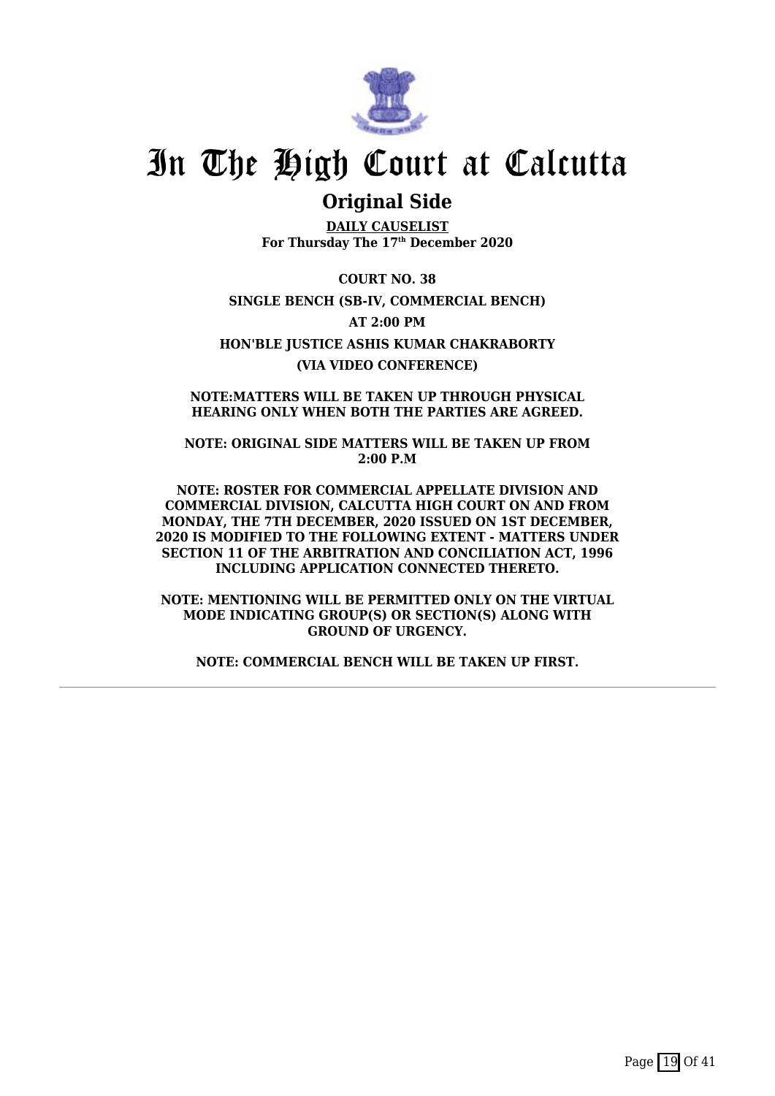

### **Original Side**

**DAILY CAUSELIST For Thursday The 17th December 2020**

**COURT NO. 38 SINGLE BENCH (SB-IV, COMMERCIAL BENCH) AT 2:00 PM HON'BLE JUSTICE ASHIS KUMAR CHAKRABORTY (VIA VIDEO CONFERENCE)**

**NOTE:MATTERS WILL BE TAKEN UP THROUGH PHYSICAL HEARING ONLY WHEN BOTH THE PARTIES ARE AGREED.**

**NOTE: ORIGINAL SIDE MATTERS WILL BE TAKEN UP FROM 2:00 P.M**

**NOTE: ROSTER FOR COMMERCIAL APPELLATE DIVISION AND COMMERCIAL DIVISION, CALCUTTA HIGH COURT ON AND FROM MONDAY, THE 7TH DECEMBER, 2020 ISSUED ON 1ST DECEMBER, 2020 IS MODIFIED TO THE FOLLOWING EXTENT - MATTERS UNDER SECTION 11 OF THE ARBITRATION AND CONCILIATION ACT, 1996 INCLUDING APPLICATION CONNECTED THERETO.**

**NOTE: MENTIONING WILL BE PERMITTED ONLY ON THE VIRTUAL MODE INDICATING GROUP(S) OR SECTION(S) ALONG WITH GROUND OF URGENCY.**

**NOTE: COMMERCIAL BENCH WILL BE TAKEN UP FIRST.**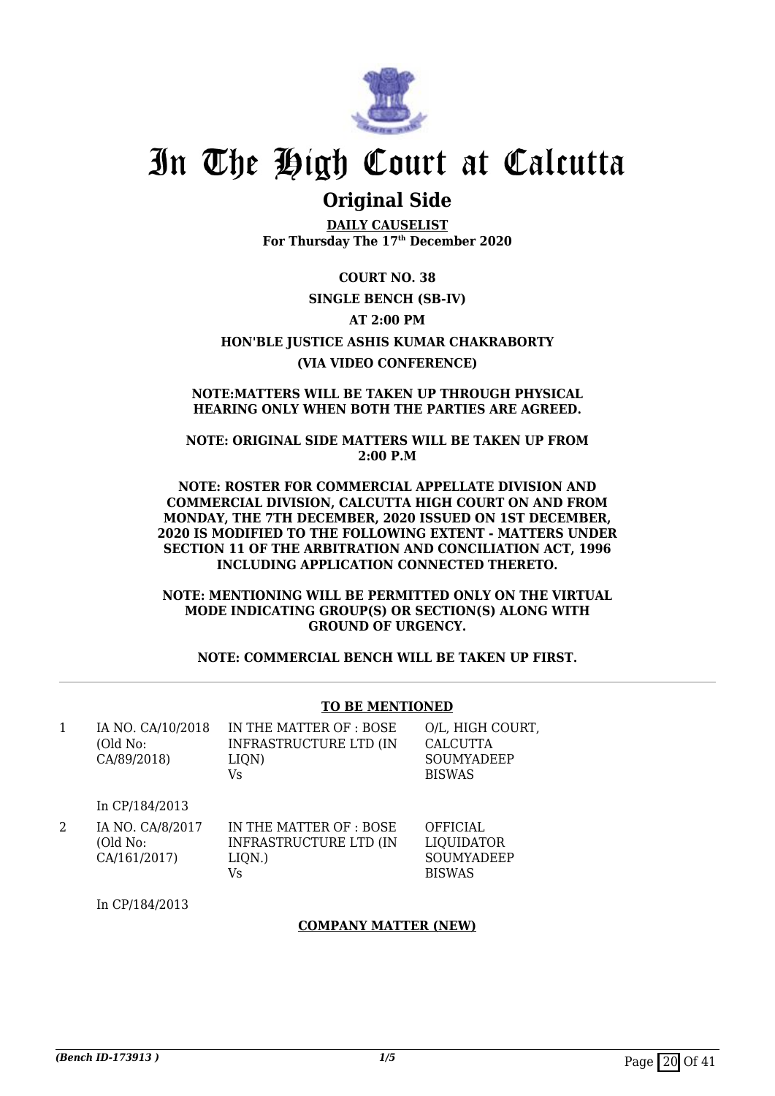

### **Original Side**

**DAILY CAUSELIST For Thursday The 17th December 2020**

**COURT NO. 38 SINGLE BENCH (SB-IV) AT 2:00 PM HON'BLE JUSTICE ASHIS KUMAR CHAKRABORTY (VIA VIDEO CONFERENCE)**

#### **NOTE:MATTERS WILL BE TAKEN UP THROUGH PHYSICAL HEARING ONLY WHEN BOTH THE PARTIES ARE AGREED.**

**NOTE: ORIGINAL SIDE MATTERS WILL BE TAKEN UP FROM 2:00 P.M**

**NOTE: ROSTER FOR COMMERCIAL APPELLATE DIVISION AND COMMERCIAL DIVISION, CALCUTTA HIGH COURT ON AND FROM MONDAY, THE 7TH DECEMBER, 2020 ISSUED ON 1ST DECEMBER, 2020 IS MODIFIED TO THE FOLLOWING EXTENT - MATTERS UNDER SECTION 11 OF THE ARBITRATION AND CONCILIATION ACT, 1996 INCLUDING APPLICATION CONNECTED THERETO.**

**NOTE: MENTIONING WILL BE PERMITTED ONLY ON THE VIRTUAL MODE INDICATING GROUP(S) OR SECTION(S) ALONG WITH GROUND OF URGENCY.**

**NOTE: COMMERCIAL BENCH WILL BE TAKEN UP FIRST.**

#### **TO BE MENTIONED**

1 IA NO. CA/10/2018 (Old No: CA/89/2018)

IN THE MATTER OF : BOSE INFRASTRUCTURE LTD (IN LIQN) Vs

O/L, HIGH COURT, CALCUTTA SOUMYADEEP BISWAS

In CP/184/2013

2 IA NO. CA/8/2017 (Old No: CA/161/2017) IN THE MATTER OF : BOSE INFRASTRUCTURE LTD (IN LIQN.) Vs **OFFICIAL** LIQUIDATOR SOUMYADEEP BISWAS

In CP/184/2013

#### **COMPANY MATTER (NEW)**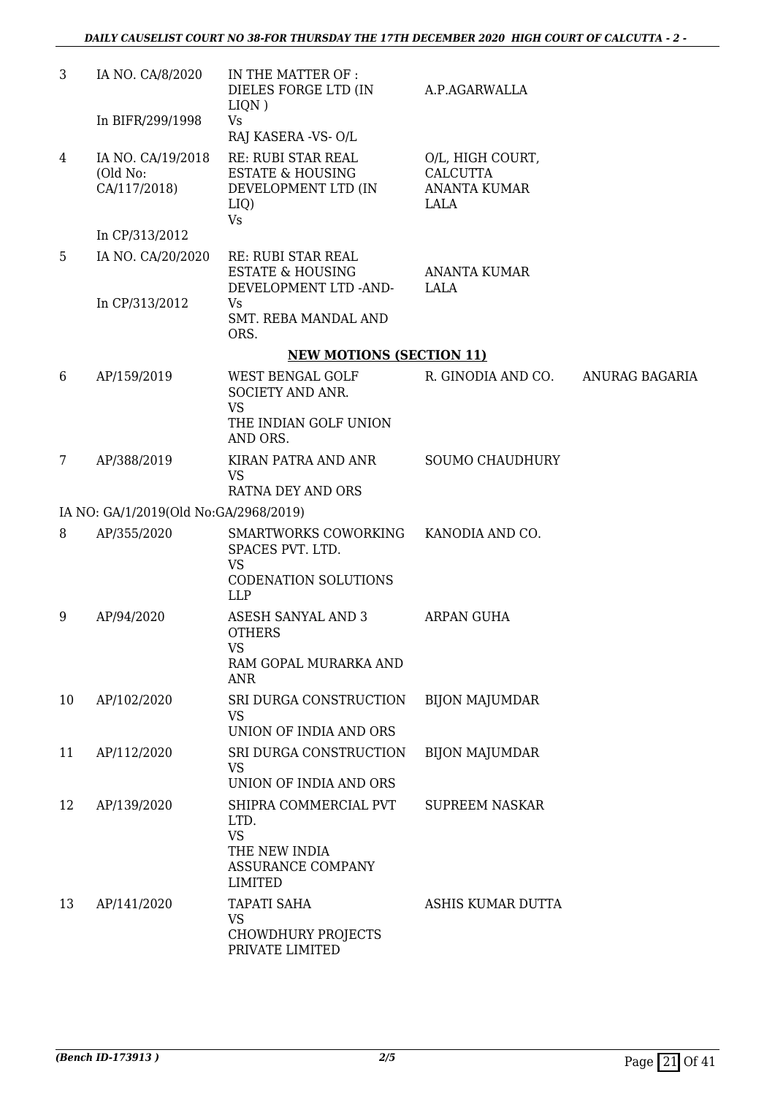| 3              | IA NO. CA/8/2020                              | IN THE MATTER OF :<br>DIELES FORGE LTD (IN<br>LIQN)                                                       | A.P.AGARWALLA                                                      |                       |
|----------------|-----------------------------------------------|-----------------------------------------------------------------------------------------------------------|--------------------------------------------------------------------|-----------------------|
|                | In BIFR/299/1998                              | <b>Vs</b><br>RAJ KASERA - VS- O/L                                                                         |                                                                    |                       |
| 4              | IA NO. CA/19/2018<br>(Old No:<br>CA/117/2018) | RE: RUBI STAR REAL<br><b>ESTATE &amp; HOUSING</b><br>DEVELOPMENT LTD (IN<br>LIQ)<br>Vs                    | O/L, HIGH COURT,<br><b>CALCUTTA</b><br><b>ANANTA KUMAR</b><br>LALA |                       |
|                | In CP/313/2012                                |                                                                                                           |                                                                    |                       |
| 5              | IA NO. CA/20/2020                             | RE: RUBI STAR REAL<br><b>ESTATE &amp; HOUSING</b><br>DEVELOPMENT LTD -AND-                                | <b>ANANTA KUMAR</b><br>LALA                                        |                       |
|                | In CP/313/2012                                | Vs.<br><b>SMT. REBA MANDAL AND</b><br>ORS.                                                                |                                                                    |                       |
|                |                                               | <b>NEW MOTIONS (SECTION 11)</b>                                                                           |                                                                    |                       |
| 6              | AP/159/2019                                   | WEST BENGAL GOLF<br>SOCIETY AND ANR.<br><b>VS</b><br>THE INDIAN GOLF UNION                                | R. GINODIA AND CO.                                                 | <b>ANURAG BAGARIA</b> |
|                |                                               | AND ORS.                                                                                                  |                                                                    |                       |
| $\overline{7}$ | AP/388/2019                                   | KIRAN PATRA AND ANR<br><b>VS</b><br>RATNA DEY AND ORS                                                     | <b>SOUMO CHAUDHURY</b>                                             |                       |
|                | IA NO: GA/1/2019(Old No:GA/2968/2019)         |                                                                                                           |                                                                    |                       |
| 8              | AP/355/2020                                   | SMARTWORKS COWORKING<br>SPACES PVT. LTD.<br><b>VS</b>                                                     | KANODIA AND CO.                                                    |                       |
|                |                                               | CODENATION SOLUTIONS<br><b>LLP</b>                                                                        |                                                                    |                       |
| 9              | AP/94/2020                                    | ASESH SANYAL AND 3<br><b>OTHERS</b><br><b>VS</b><br>RAM GOPAL MURARKA AND<br>ANR                          | ARPAN GUHA                                                         |                       |
| 10             | AP/102/2020                                   | SRI DURGA CONSTRUCTION                                                                                    | <b>BIJON MAJUMDAR</b>                                              |                       |
|                |                                               | <b>VS</b><br>UNION OF INDIA AND ORS                                                                       |                                                                    |                       |
| 11             | AP/112/2020                                   | SRI DURGA CONSTRUCTION<br><b>VS</b>                                                                       | <b>BIJON MAJUMDAR</b>                                              |                       |
|                |                                               | UNION OF INDIA AND ORS                                                                                    |                                                                    |                       |
| 12             | AP/139/2020                                   | SHIPRA COMMERCIAL PVT<br>LTD.<br><b>VS</b><br>THE NEW INDIA<br><b>ASSURANCE COMPANY</b><br><b>LIMITED</b> | <b>SUPREEM NASKAR</b>                                              |                       |
| 13             | AP/141/2020                                   | <b>TAPATI SAHA</b><br><b>VS</b><br>CHOWDHURY PROJECTS<br>PRIVATE LIMITED                                  | ASHIS KUMAR DUTTA                                                  |                       |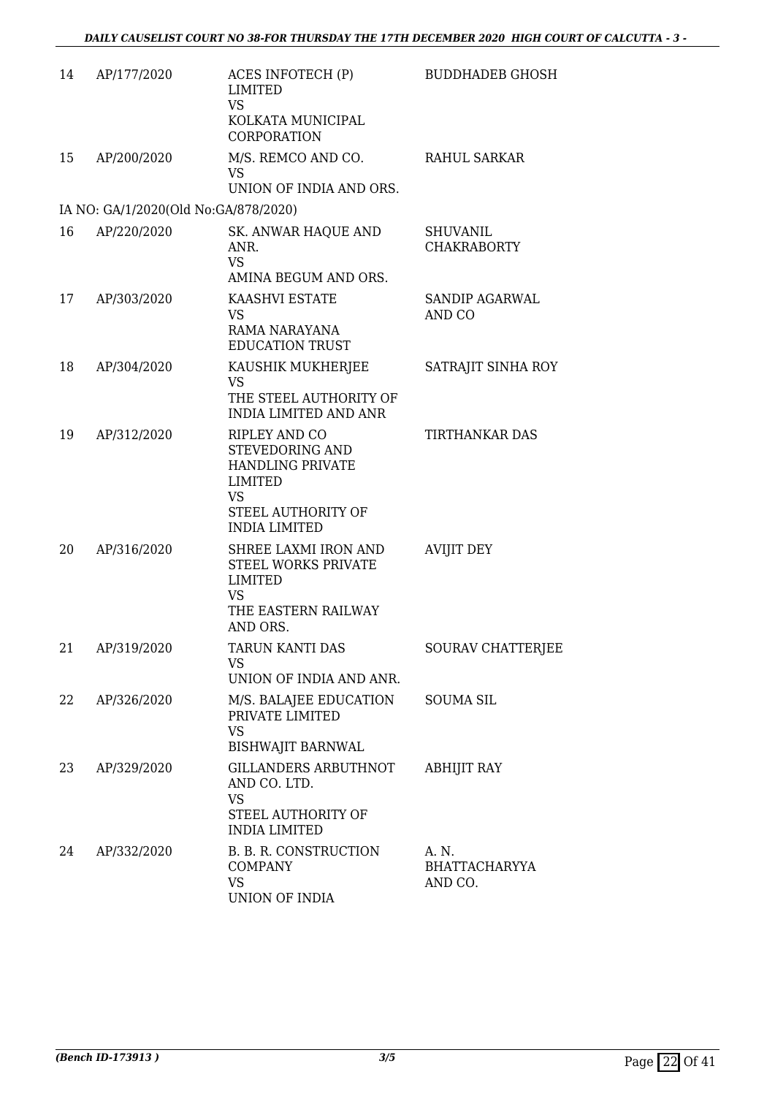| 14 | AP/177/2020                          | ACES INFOTECH (P)<br><b>LIMITED</b><br><b>VS</b><br>KOLKATA MUNICIPAL<br>CORPORATION                                                     | <b>BUDDHADEB GHOSH</b>                |
|----|--------------------------------------|------------------------------------------------------------------------------------------------------------------------------------------|---------------------------------------|
| 15 | AP/200/2020                          | M/S. REMCO AND CO.<br>VS<br>UNION OF INDIA AND ORS.                                                                                      | RAHUL SARKAR                          |
|    | IA NO: GA/1/2020(Old No:GA/878/2020) |                                                                                                                                          |                                       |
| 16 | AP/220/2020                          | SK. ANWAR HAQUE AND<br>ANR.<br><b>VS</b><br>AMINA BEGUM AND ORS.                                                                         | <b>SHUVANIL</b><br><b>CHAKRABORTY</b> |
| 17 | AP/303/2020                          | KAASHVI ESTATE<br><b>VS</b><br>RAMA NARAYANA<br><b>EDUCATION TRUST</b>                                                                   | <b>SANDIP AGARWAL</b><br>AND CO       |
| 18 | AP/304/2020                          | KAUSHIK MUKHERJEE<br><b>VS</b><br>THE STEEL AUTHORITY OF<br><b>INDIA LIMITED AND ANR</b>                                                 | SATRAJIT SINHA ROY                    |
| 19 | AP/312/2020                          | RIPLEY AND CO<br>STEVEDORING AND<br><b>HANDLING PRIVATE</b><br><b>LIMITED</b><br><b>VS</b><br>STEEL AUTHORITY OF<br><b>INDIA LIMITED</b> | <b>TIRTHANKAR DAS</b>                 |
| 20 | AP/316/2020                          | SHREE LAXMI IRON AND<br><b>STEEL WORKS PRIVATE</b><br><b>LIMITED</b><br><b>VS</b><br>THE EASTERN RAILWAY<br>AND ORS.                     | <b>AVIJIT DEY</b>                     |
| 21 | AP/319/2020                          | TARUN KANTI DAS<br>VS<br>UNION OF INDIA AND ANR.                                                                                         | SOURAV CHATTERJEE                     |
| 22 | AP/326/2020                          | M/S. BALAJEE EDUCATION<br>PRIVATE LIMITED<br><b>VS</b><br><b>BISHWAJIT BARNWAL</b>                                                       | <b>SOUMA SIL</b>                      |
| 23 | AP/329/2020                          | <b>GILLANDERS ARBUTHNOT</b><br>AND CO. LTD.<br><b>VS</b><br>STEEL AUTHORITY OF<br><b>INDIA LIMITED</b>                                   | <b>ABHIJIT RAY</b>                    |
| 24 | AP/332/2020                          | B. B. R. CONSTRUCTION<br><b>COMPANY</b><br><b>VS</b><br>UNION OF INDIA                                                                   | A. N.<br>BHATTACHARYYA<br>AND CO.     |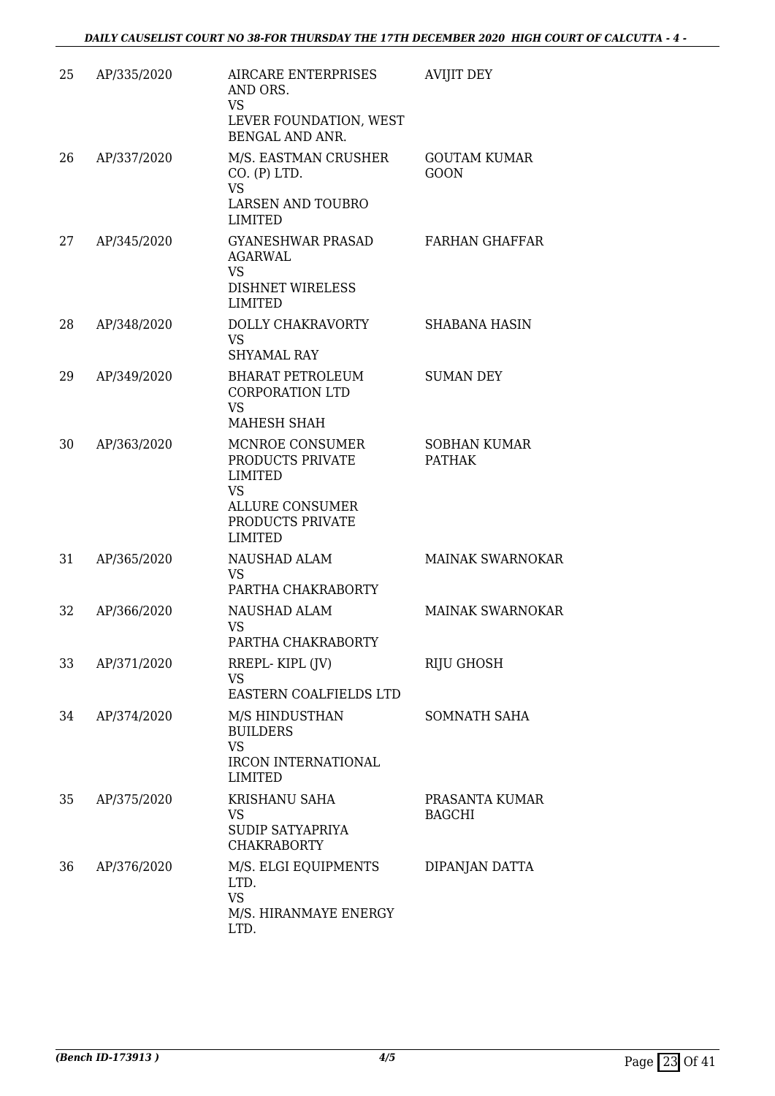| 25 | AP/335/2020 | <b>AIRCARE ENTERPRISES</b><br>AND ORS.<br><b>VS</b><br>LEVER FOUNDATION, WEST<br><b>BENGAL AND ANR.</b>                            | <b>AVIJIT DEY</b>                    |
|----|-------------|------------------------------------------------------------------------------------------------------------------------------------|--------------------------------------|
| 26 | AP/337/2020 | M/S. EASTMAN CRUSHER<br>CO. (P) LTD.<br><b>VS</b><br><b>LARSEN AND TOUBRO</b><br><b>LIMITED</b>                                    | <b>GOUTAM KUMAR</b><br><b>GOON</b>   |
| 27 | AP/345/2020 | <b>GYANESHWAR PRASAD</b><br><b>AGARWAL</b><br><b>VS</b><br><b>DISHNET WIRELESS</b><br><b>LIMITED</b>                               | <b>FARHAN GHAFFAR</b>                |
| 28 | AP/348/2020 | DOLLY CHAKRAVORTY<br><b>VS</b><br><b>SHYAMAL RAY</b>                                                                               | <b>SHABANA HASIN</b>                 |
| 29 | AP/349/2020 | <b>BHARAT PETROLEUM</b><br><b>CORPORATION LTD</b><br><b>VS</b><br>MAHESH SHAH                                                      | <b>SUMAN DEY</b>                     |
| 30 | AP/363/2020 | MCNROE CONSUMER<br>PRODUCTS PRIVATE<br><b>LIMITED</b><br><b>VS</b><br><b>ALLURE CONSUMER</b><br>PRODUCTS PRIVATE<br><b>LIMITED</b> | <b>SOBHAN KUMAR</b><br><b>PATHAK</b> |
| 31 | AP/365/2020 | NAUSHAD ALAM<br><b>VS</b><br>PARTHA CHAKRABORTY                                                                                    | <b>MAINAK SWARNOKAR</b>              |
| 32 | AP/366/2020 | NAUSHAD ALAM<br><b>VS</b><br>PARTHA CHAKRABORTY                                                                                    | <b>MAINAK SWARNOKAR</b>              |
| 33 | AP/371/2020 | RREPL-KIPL (JV)<br><b>VS</b><br>EASTERN COALFIELDS LTD                                                                             | RIJU GHOSH                           |
| 34 | AP/374/2020 | M/S HINDUSTHAN<br><b>BUILDERS</b><br><b>VS</b><br>IRCON INTERNATIONAL<br><b>LIMITED</b>                                            | SOMNATH SAHA                         |
| 35 | AP/375/2020 | KRISHANU SAHA<br><b>VS</b><br>SUDIP SATYAPRIYA<br><b>CHAKRABORTY</b>                                                               | PRASANTA KUMAR<br><b>BAGCHI</b>      |
| 36 | AP/376/2020 | M/S. ELGI EQUIPMENTS<br>LTD.<br><b>VS</b><br>M/S. HIRANMAYE ENERGY<br>LTD.                                                         | DIPANJAN DATTA                       |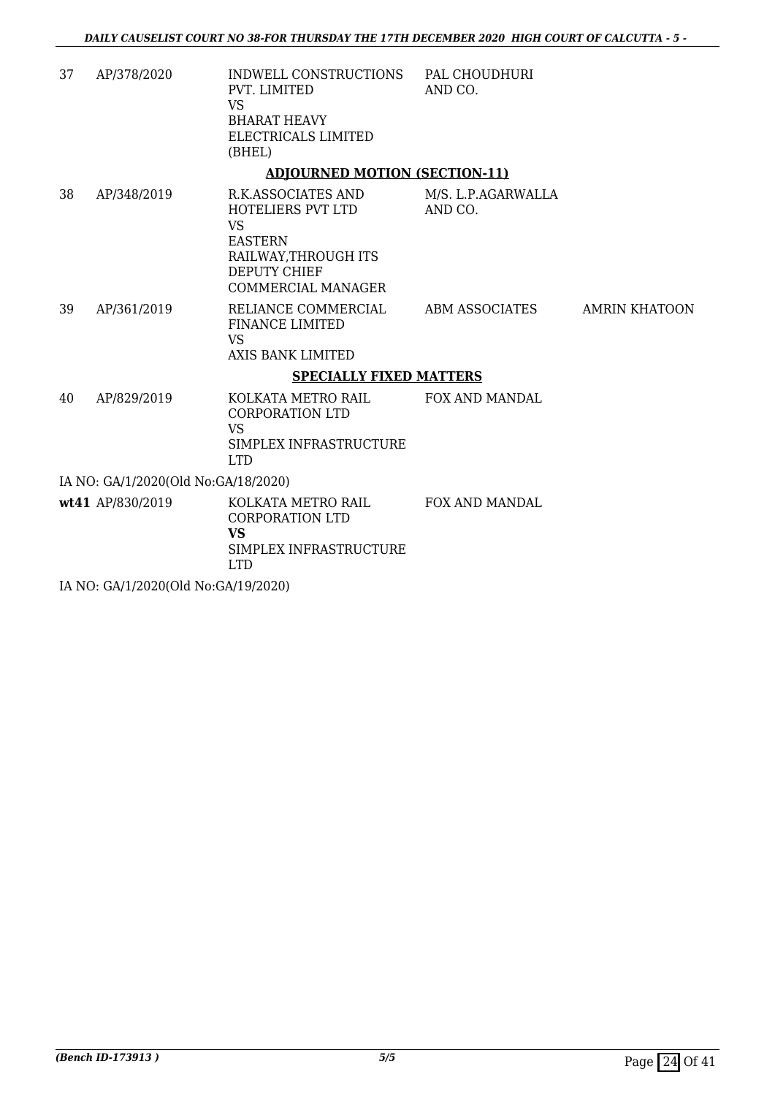| 37 | AP/378/2020 | INDWELL CONSTRUCTIONS<br>PVT. LIMITED<br>VS.<br><b>BHARAT HEAVY</b><br>ELECTRICALS LIMITED<br>(BHEL)                           | PAL CHOUDHURI<br>AND CO.      |                      |
|----|-------------|--------------------------------------------------------------------------------------------------------------------------------|-------------------------------|----------------------|
|    |             | <b>ADJOURNED MOTION (SECTION-11)</b>                                                                                           |                               |                      |
| 38 | AP/348/2019 | R.K.ASSOCIATES AND<br>HOTELIERS PVT LTD<br>VS.<br><b>EASTERN</b><br>RAILWAY, THROUGH ITS<br>DEPUTY CHIEF<br>COMMERCIAL MANAGER | M/S. L.P.AGARWALLA<br>AND CO. |                      |
| 39 | AP/361/2019 | RELIANCE COMMERCIAL<br><b>FINANCE LIMITED</b><br>VS.<br>AXIS BANK LIMITED                                                      | ABM ASSOCIATES                | <b>AMRIN KHATOON</b> |
|    |             | <b>SPECIALLY FIXED MATTERS</b>                                                                                                 |                               |                      |
| 40 | AP/829/2019 | KOLKATA METRO RAIL                                                                                                             | <b>FOX AND MANDAL</b>         |                      |

CORPORATION LTD VS SIMPLEX INFRASTRUCTURE LTD IA NO: GA/1/2020(Old No:GA/18/2020)

**wt41** AP/830/2019 KOLKATA METRO RAIL CORPORATION LTD **VS** SIMPLEX INFRASTRUCTURE LTD FOX AND MANDAL

IA NO: GA/1/2020(Old No:GA/19/2020)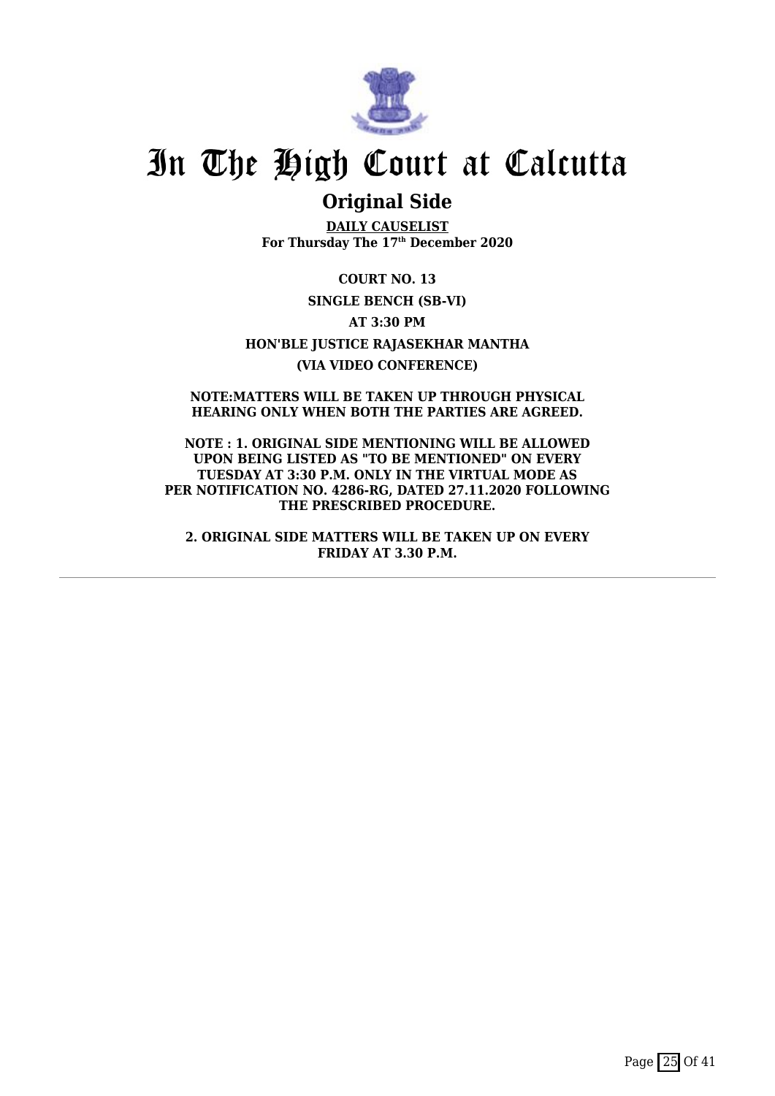

### **Original Side**

**DAILY CAUSELIST For Thursday The 17th December 2020**

**COURT NO. 13 SINGLE BENCH (SB-VI) AT 3:30 PM HON'BLE JUSTICE RAJASEKHAR MANTHA (VIA VIDEO CONFERENCE)**

**NOTE:MATTERS WILL BE TAKEN UP THROUGH PHYSICAL HEARING ONLY WHEN BOTH THE PARTIES ARE AGREED.**

**NOTE : 1. ORIGINAL SIDE MENTIONING WILL BE ALLOWED UPON BEING LISTED AS "TO BE MENTIONED" ON EVERY TUESDAY AT 3:30 P.M. ONLY IN THE VIRTUAL MODE AS PER NOTIFICATION NO. 4286-RG, DATED 27.11.2020 FOLLOWING THE PRESCRIBED PROCEDURE.**

**2. ORIGINAL SIDE MATTERS WILL BE TAKEN UP ON EVERY FRIDAY AT 3.30 P.M.**

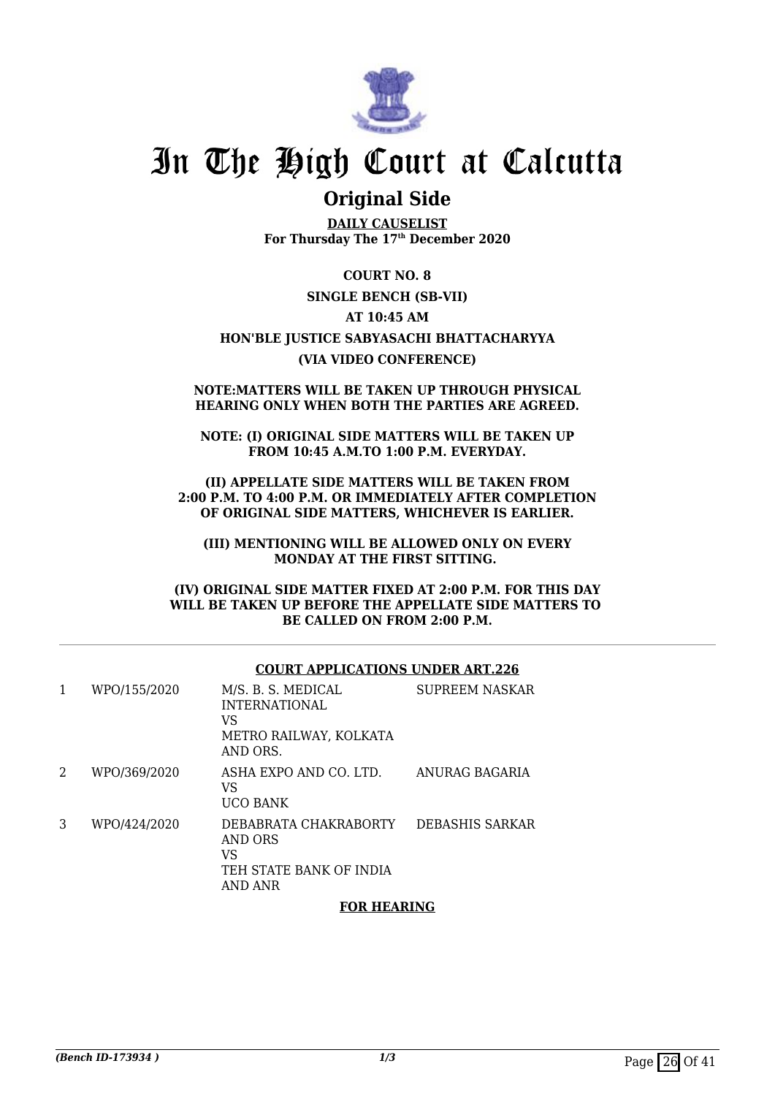

### **Original Side**

**DAILY CAUSELIST For Thursday The 17th December 2020**

#### **COURT NO. 8**

#### **SINGLE BENCH (SB-VII)**

#### **AT 10:45 AM**

#### **HON'BLE JUSTICE SABYASACHI BHATTACHARYYA (VIA VIDEO CONFERENCE)**

#### **NOTE:MATTERS WILL BE TAKEN UP THROUGH PHYSICAL HEARING ONLY WHEN BOTH THE PARTIES ARE AGREED.**

**NOTE: (I) ORIGINAL SIDE MATTERS WILL BE TAKEN UP FROM 10:45 A.M.TO 1:00 P.M. EVERYDAY.**

**(II) APPELLATE SIDE MATTERS WILL BE TAKEN FROM 2:00 P.M. TO 4:00 P.M. OR IMMEDIATELY AFTER COMPLETION OF ORIGINAL SIDE MATTERS, WHICHEVER IS EARLIER.**

**(III) MENTIONING WILL BE ALLOWED ONLY ON EVERY MONDAY AT THE FIRST SITTING.** 

**(IV) ORIGINAL SIDE MATTER FIXED AT 2:00 P.M. FOR THIS DAY WILL BE TAKEN UP BEFORE THE APPELLATE SIDE MATTERS TO BE CALLED ON FROM 2:00 P.M.**

#### **COURT APPLICATIONS UNDER ART.226**

| 1 | WPO/155/2020 | M/S. B. S. MEDICAL<br><b>INTERNATIONAL</b><br>VS<br>METRO RAILWAY, KOLKATA<br>AND ORS. | <b>SUPREEM NASKAR</b> |
|---|--------------|----------------------------------------------------------------------------------------|-----------------------|
| 2 | WPO/369/2020 | ASHA EXPO AND CO. LTD.<br>VS<br><b>UCO BANK</b>                                        | ANURAG BAGARIA        |
| 3 | WPO/424/2020 | DEBABRATA CHAKRABORTY<br>AND ORS<br>VS<br>TEH STATE BANK OF INDIA<br>AND ANR           | DEBASHIS SARKAR       |

#### **FOR HEARING**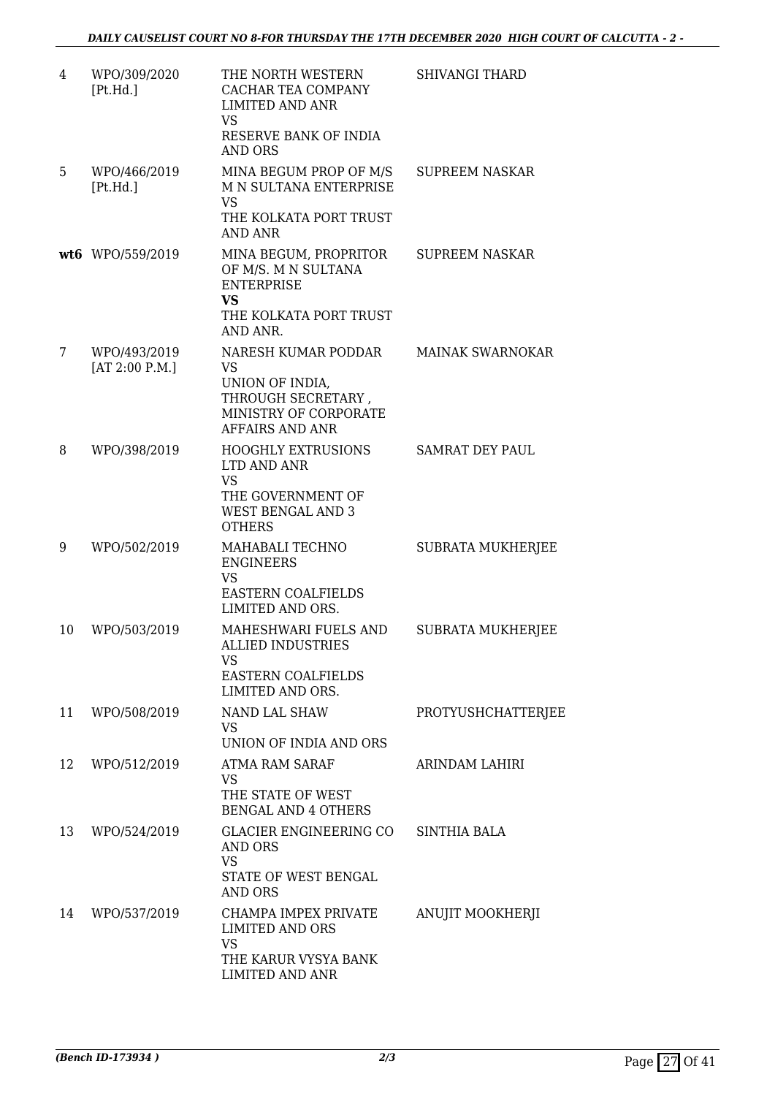| 4  | WPO/309/2020<br>[Pt.Hd.]       | THE NORTH WESTERN<br><b>CACHAR TEA COMPANY</b><br><b>LIMITED AND ANR</b><br><b>VS</b>                                        | <b>SHIVANGI THARD</b>    |
|----|--------------------------------|------------------------------------------------------------------------------------------------------------------------------|--------------------------|
|    |                                | RESERVE BANK OF INDIA<br><b>AND ORS</b>                                                                                      |                          |
| 5  | WPO/466/2019<br>[Pt.Hd.]       | MINA BEGUM PROP OF M/S<br>M N SULTANA ENTERPRISE<br>VS<br>THE KOLKATA PORT TRUST<br><b>AND ANR</b>                           | <b>SUPREEM NASKAR</b>    |
|    | wt6 WPO/559/2019               | MINA BEGUM, PROPRITOR<br>OF M/S. M N SULTANA<br><b>ENTERPRISE</b><br>VS<br>THE KOLKATA PORT TRUST<br>AND ANR.                | <b>SUPREEM NASKAR</b>    |
| 7  | WPO/493/2019<br>[AT 2:00 P.M.] | NARESH KUMAR PODDAR<br><b>VS</b><br>UNION OF INDIA,<br>THROUGH SECRETARY,<br>MINISTRY OF CORPORATE<br><b>AFFAIRS AND ANR</b> | <b>MAINAK SWARNOKAR</b>  |
| 8  | WPO/398/2019                   | <b>HOOGHLY EXTRUSIONS</b><br>LTD AND ANR<br><b>VS</b><br>THE GOVERNMENT OF<br><b>WEST BENGAL AND 3</b><br><b>OTHERS</b>      | SAMRAT DEY PAUL          |
| 9  | WPO/502/2019                   | MAHABALI TECHNO<br><b>ENGINEERS</b><br><b>VS</b><br><b>EASTERN COALFIELDS</b><br>LIMITED AND ORS.                            | SUBRATA MUKHERJEE        |
| 10 | WPO/503/2019                   | MAHESHWARI FUELS AND<br>ALLIED INDUSTRIES<br>VS<br><b>EASTERN COALFIELDS</b><br>LIMITED AND ORS.                             | <b>SUBRATA MUKHERJEE</b> |
| 11 | WPO/508/2019                   | NAND LAL SHAW<br>VS<br>UNION OF INDIA AND ORS                                                                                | PROTYUSHCHATTERJEE       |
| 12 | WPO/512/2019                   | ATMA RAM SARAF<br><b>VS</b><br>THE STATE OF WEST<br><b>BENGAL AND 4 OTHERS</b>                                               | ARINDAM LAHIRI           |
| 13 | WPO/524/2019                   | GLACIER ENGINEERING CO SINTHIA BALA<br>AND ORS<br><b>VS</b><br>STATE OF WEST BENGAL<br><b>AND ORS</b>                        |                          |
| 14 | WPO/537/2019                   | CHAMPA IMPEX PRIVATE<br><b>LIMITED AND ORS</b><br>VS<br>THE KARUR VYSYA BANK<br>LIMITED AND ANR                              | ANUJIT MOOKHERJI         |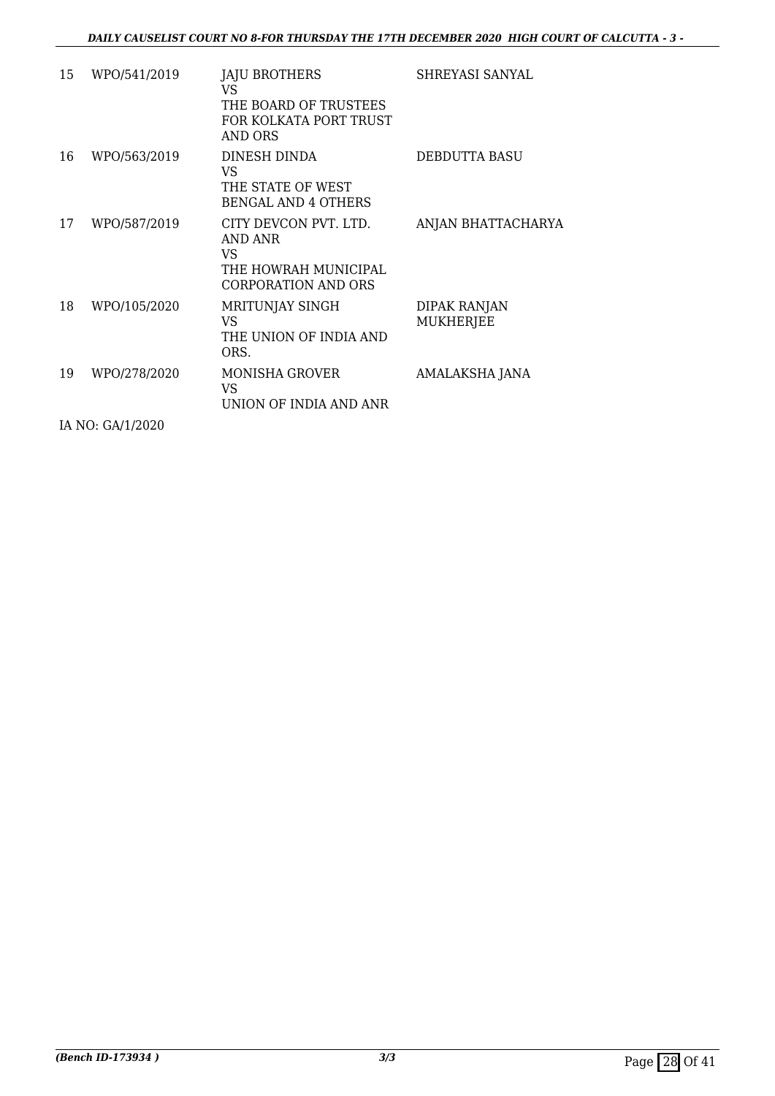| 15 | WPO/541/2019     | JAJU BROTHERS<br>VS.<br>THE BOARD OF TRUSTEES<br>FOR KOLKATA PORT TRUST<br><b>AND ORS</b>     | SHREYASI SANYAL                  |
|----|------------------|-----------------------------------------------------------------------------------------------|----------------------------------|
| 16 | WPO/563/2019     | DINESH DINDA<br>VS.<br>THE STATE OF WEST<br><b>BENGAL AND 4 OTHERS</b>                        | DEBDUTTA BASU                    |
| 17 | WPO/587/2019     | CITY DEVCON PVT. LTD.<br>AND ANR<br>VS.<br>THE HOWRAH MUNICIPAL<br><b>CORPORATION AND ORS</b> | ANJAN BHATTACHARYA               |
| 18 | WPO/105/2020     | MRITUNJAY SINGH<br>VS.<br>THE UNION OF INDIA AND<br>ORS.                                      | DIPAK RANJAN<br><b>MUKHERJEE</b> |
| 19 | WPO/278/2020     | <b>MONISHA GROVER</b><br>VS<br>UNION OF INDIA AND ANR                                         | AMALAKSHA JANA                   |
|    | IA NO: GA/1/2020 |                                                                                               |                                  |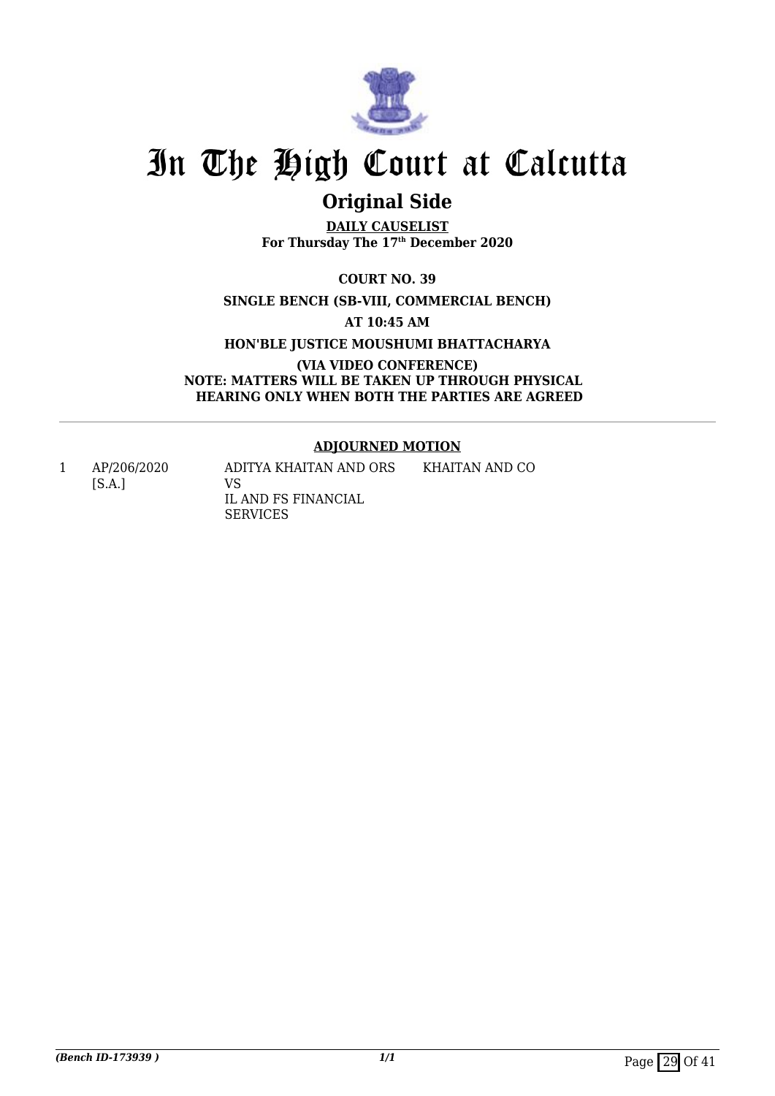

## **Original Side**

**DAILY CAUSELIST For Thursday The 17th December 2020**

**COURT NO. 39**

**SINGLE BENCH (SB-VIII, COMMERCIAL BENCH)**

**AT 10:45 AM**

**HON'BLE JUSTICE MOUSHUMI BHATTACHARYA**

**(VIA VIDEO CONFERENCE) NOTE: MATTERS WILL BE TAKEN UP THROUGH PHYSICAL HEARING ONLY WHEN BOTH THE PARTIES ARE AGREED**

#### **ADJOURNED MOTION**

KHAITAN AND CO

1 AP/206/2020 [S.A.]

ADITYA KHAITAN AND ORS VS IL AND FS FINANCIAL SERVICES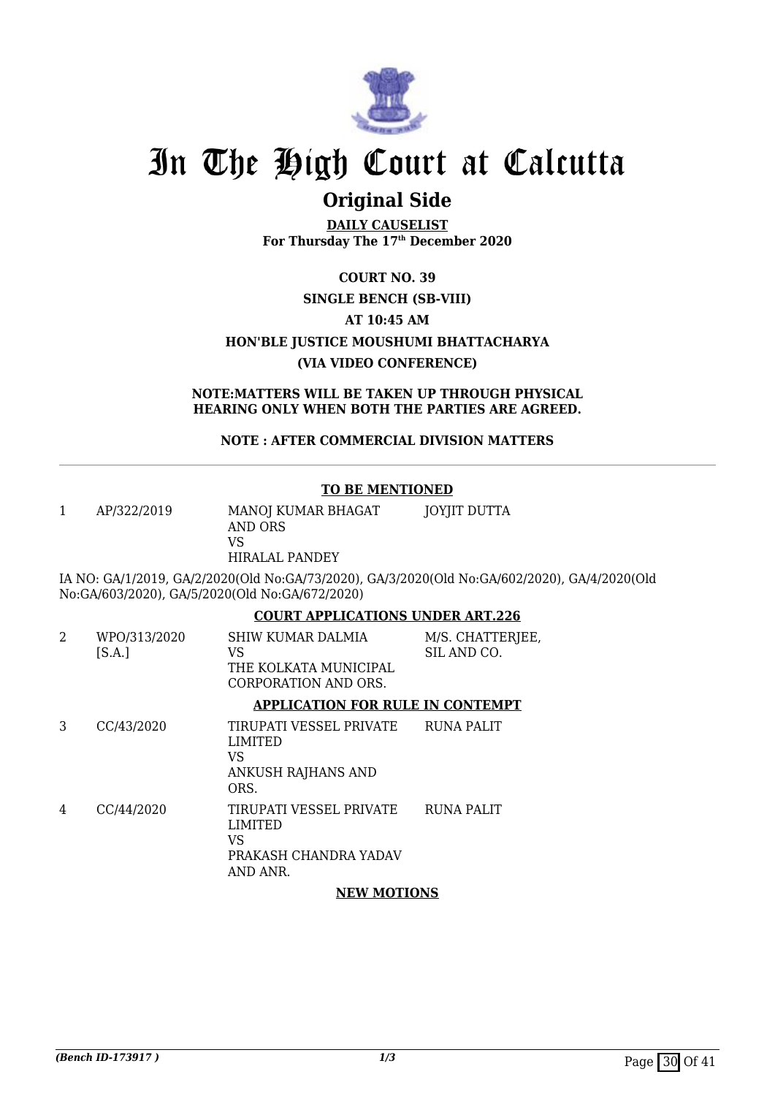

### **Original Side**

**DAILY CAUSELIST For Thursday The 17th December 2020**

### **COURT NO. 39**

#### **SINGLE BENCH (SB-VIII)**

#### **AT 10:45 AM**

#### **HON'BLE JUSTICE MOUSHUMI BHATTACHARYA**

#### **(VIA VIDEO CONFERENCE)**

#### **NOTE:MATTERS WILL BE TAKEN UP THROUGH PHYSICAL HEARING ONLY WHEN BOTH THE PARTIES ARE AGREED.**

#### **NOTE : AFTER COMMERCIAL DIVISION MATTERS**

#### **TO BE MENTIONED**

1 AP/322/2019 MANOJ KUMAR BHAGAT AND ORS VS HIRALAL PANDEY JOYJIT DUTTA

IA NO: GA/1/2019, GA/2/2020(Old No:GA/73/2020), GA/3/2020(Old No:GA/602/2020), GA/4/2020(Old No:GA/603/2020), GA/5/2020(Old No:GA/672/2020)

#### **COURT APPLICATIONS UNDER ART.226**

| 2 | WPO/313/2020<br>[S.A.] | SHIW KUMAR DALMIA<br>VS<br>THE KOLKATA MUNICIPAL<br>CORPORATION AND ORS.                    | M/S. CHATTERJEE,<br>SIL AND CO. |
|---|------------------------|---------------------------------------------------------------------------------------------|---------------------------------|
|   |                        | <b>APPLICATION FOR RULE IN CONTEMPT</b>                                                     |                                 |
| 3 | CC/43/2020             | TIRUPATI VESSEL PRIVATE<br><b>LIMITED</b><br><b>VS</b><br>ANKUSH RAJHANS AND<br>ORS.        | <b>RUNA PALIT</b>               |
| 4 | CC/44/2020             | TIRUPATI VESSEL PRIVATE<br><b>LIMITED</b><br><b>VS</b><br>PRAKASH CHANDRA YADAV<br>AND ANR. | <b>RUNA PALIT</b>               |

#### **NEW MOTIONS**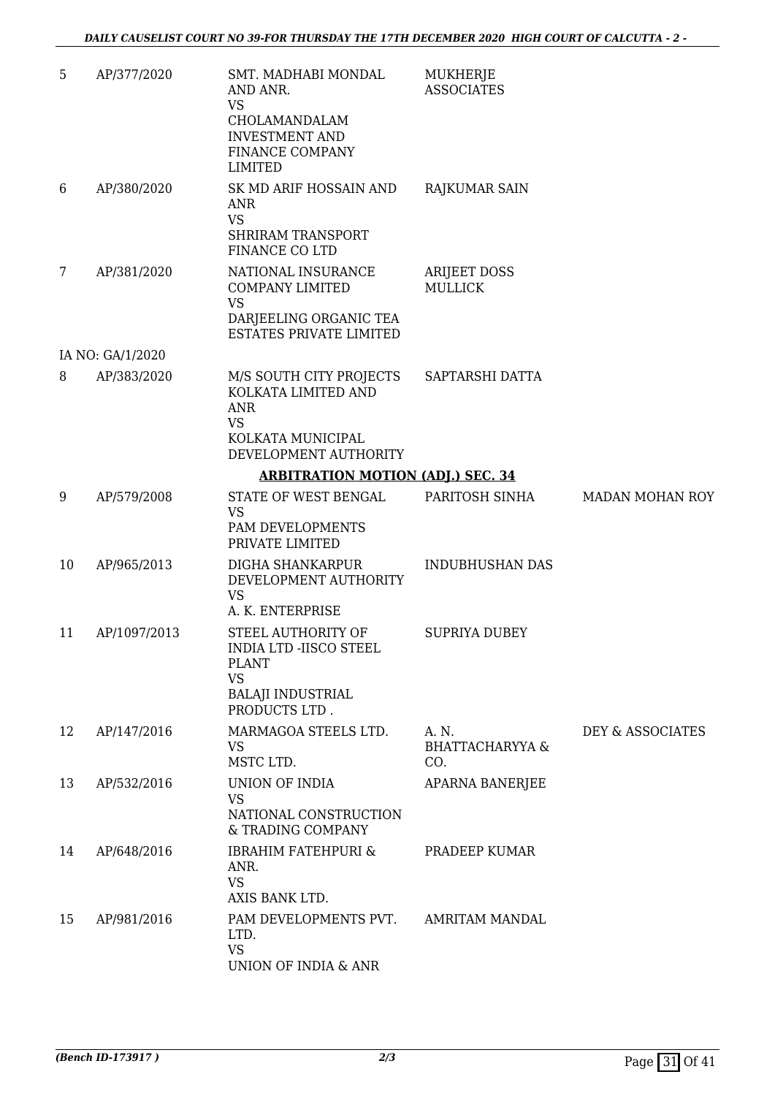| 5  | AP/377/2020      | SMT. MADHABI MONDAL<br>AND ANR.<br><b>VS</b><br>CHOLAMANDALAM<br><b>INVESTMENT AND</b><br>FINANCE COMPANY<br><b>LIMITED</b> | MUKHERJE<br><b>ASSOCIATES</b>              |                  |
|----|------------------|-----------------------------------------------------------------------------------------------------------------------------|--------------------------------------------|------------------|
| 6  | AP/380/2020      | SK MD ARIF HOSSAIN AND<br>ANR<br><b>VS</b><br><b>SHRIRAM TRANSPORT</b><br>FINANCE CO LTD                                    | <b>RAJKUMAR SAIN</b>                       |                  |
| 7  | AP/381/2020      | NATIONAL INSURANCE<br><b>COMPANY LIMITED</b><br><b>VS</b><br>DARJEELING ORGANIC TEA<br><b>ESTATES PRIVATE LIMITED</b>       | <b>ARIJEET DOSS</b><br><b>MULLICK</b>      |                  |
|    | IA NO: GA/1/2020 |                                                                                                                             |                                            |                  |
| 8  | AP/383/2020      | M/S SOUTH CITY PROJECTS<br>KOLKATA LIMITED AND<br><b>ANR</b><br><b>VS</b><br>KOLKATA MUNICIPAL<br>DEVELOPMENT AUTHORITY     | SAPTARSHI DATTA                            |                  |
|    |                  | <b>ARBITRATION MOTION (ADJ.) SEC. 34</b>                                                                                    |                                            |                  |
| 9  | AP/579/2008      | STATE OF WEST BENGAL<br><b>VS</b><br>PAM DEVELOPMENTS<br>PRIVATE LIMITED                                                    | PARITOSH SINHA                             | MADAN MOHAN ROY  |
| 10 | AP/965/2013      | DIGHA SHANKARPUR<br>DEVELOPMENT AUTHORITY<br><b>VS</b><br>A. K. ENTERPRISE                                                  | <b>INDUBHUSHAN DAS</b>                     |                  |
| 11 | AP/1097/2013     | STEEL AUTHORITY OF<br>INDIA LTD -IISCO STEEL<br><b>PLANT</b><br><b>VS</b><br><b>BALAJI INDUSTRIAL</b><br>PRODUCTS LTD.      | <b>SUPRIYA DUBEY</b>                       |                  |
| 12 | AP/147/2016      | MARMAGOA STEELS LTD.<br><b>VS</b><br>MSTC LTD.                                                                              | A. N.<br><b>BHATTACHARYYA &amp;</b><br>CO. | DEY & ASSOCIATES |
| 13 | AP/532/2016      | UNION OF INDIA<br><b>VS</b><br>NATIONAL CONSTRUCTION<br>& TRADING COMPANY                                                   | APARNA BANERJEE                            |                  |
| 14 | AP/648/2016      | <b>IBRAHIM FATEHPURI &amp;</b><br>ANR.<br><b>VS</b><br>AXIS BANK LTD.                                                       | PRADEEP KUMAR                              |                  |
| 15 | AP/981/2016      | PAM DEVELOPMENTS PVT.<br>LTD.<br><b>VS</b><br>UNION OF INDIA & ANR                                                          | <b>AMRITAM MANDAL</b>                      |                  |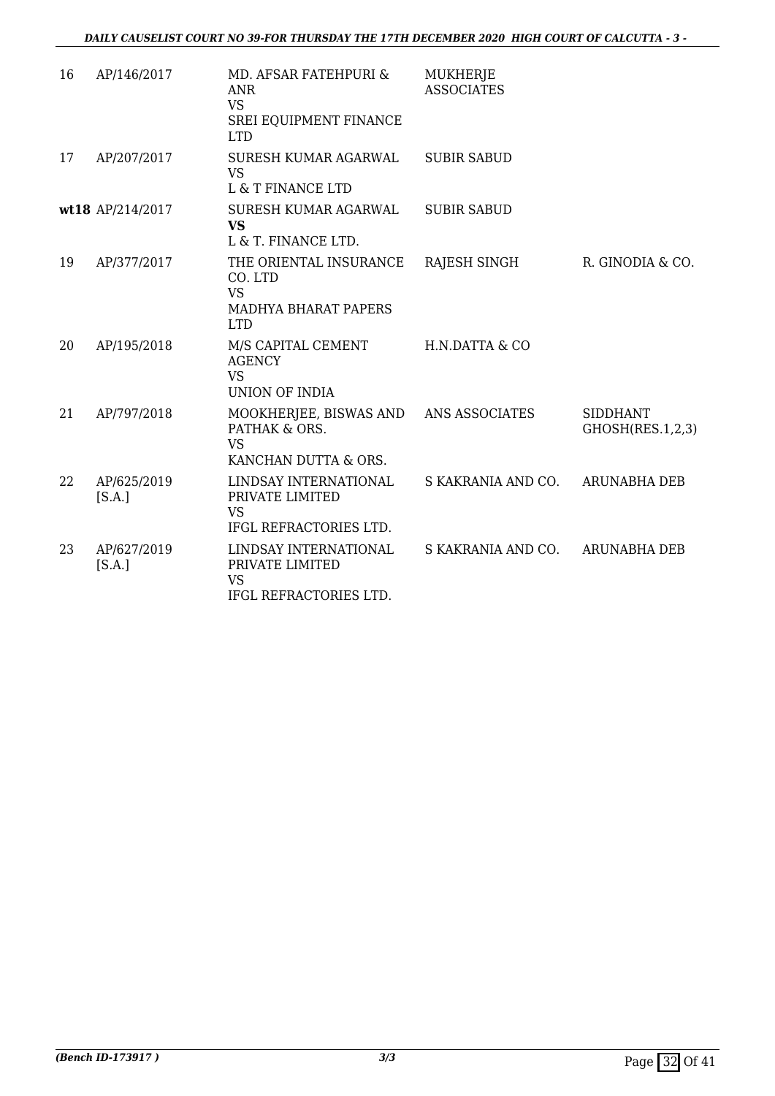| 16 | AP/146/2017           | MD. AFSAR FATEHPURI &<br><b>ANR</b><br><b>VS</b><br>SREI EQUIPMENT FINANCE<br><b>LTD</b>    | <b>MUKHERJE</b><br><b>ASSOCIATES</b> |                                     |
|----|-----------------------|---------------------------------------------------------------------------------------------|--------------------------------------|-------------------------------------|
| 17 | AP/207/2017           | SURESH KUMAR AGARWAL<br><b>VS</b><br>L & T FINANCE LTD                                      | <b>SUBIR SABUD</b>                   |                                     |
|    | wt18 AP/214/2017      | SURESH KUMAR AGARWAL<br><b>VS</b><br>L & T. FINANCE LTD.                                    | <b>SUBIR SABUD</b>                   |                                     |
| 19 | AP/377/2017           | THE ORIENTAL INSURANCE<br>CO. LTD<br><b>VS</b><br><b>MADHYA BHARAT PAPERS</b><br><b>LTD</b> | RAJESH SINGH                         | R. GINODIA & CO.                    |
| 20 | AP/195/2018           | M/S CAPITAL CEMENT<br><b>AGENCY</b><br><b>VS</b><br>UNION OF INDIA                          | H.N.DATTA & CO                       |                                     |
| 21 | AP/797/2018           | MOOKHERJEE, BISWAS AND ANS ASSOCIATES<br>PATHAK & ORS.<br><b>VS</b><br>KANCHAN DUTTA & ORS. |                                      | <b>SIDDHANT</b><br>GHOSH(RES.1,2,3) |
| 22 | AP/625/2019<br>[S.A.] | LINDSAY INTERNATIONAL<br>PRIVATE LIMITED<br><b>VS</b><br>IFGL REFRACTORIES LTD.             | S KAKRANIA AND CO.                   | <b>ARUNABHA DEB</b>                 |
| 23 | AP/627/2019<br>[S.A.] | LINDSAY INTERNATIONAL<br>PRIVATE LIMITED<br><b>VS</b><br>IFGL REFRACTORIES LTD.             | S KAKRANIA AND CO. ARUNABHA DEB      |                                     |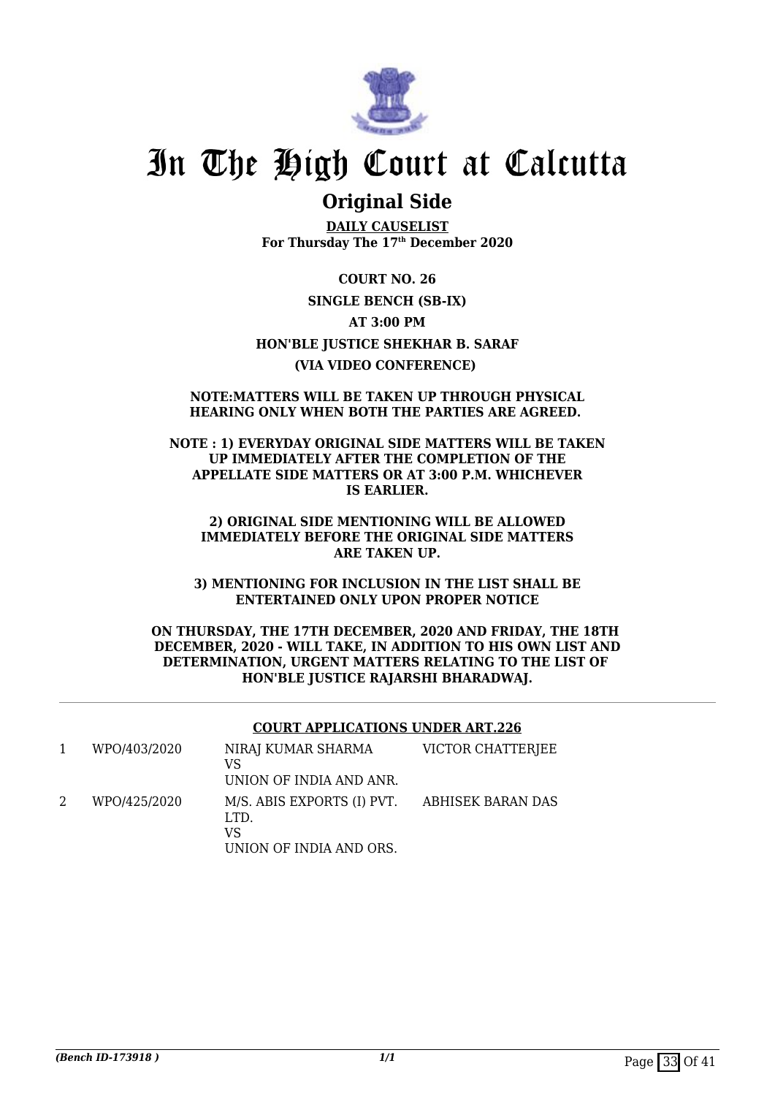

### **Original Side**

**DAILY CAUSELIST For Thursday The 17th December 2020**

**COURT NO. 26 SINGLE BENCH (SB-IX) AT 3:00 PM HON'BLE JUSTICE SHEKHAR B. SARAF (VIA VIDEO CONFERENCE)** 

#### **NOTE:MATTERS WILL BE TAKEN UP THROUGH PHYSICAL HEARING ONLY WHEN BOTH THE PARTIES ARE AGREED.**

**NOTE : 1) EVERYDAY ORIGINAL SIDE MATTERS WILL BE TAKEN UP IMMEDIATELY AFTER THE COMPLETION OF THE APPELLATE SIDE MATTERS OR AT 3:00 P.M. WHICHEVER IS EARLIER.**

**2) ORIGINAL SIDE MENTIONING WILL BE ALLOWED IMMEDIATELY BEFORE THE ORIGINAL SIDE MATTERS ARE TAKEN UP.**

**3) MENTIONING FOR INCLUSION IN THE LIST SHALL BE ENTERTAINED ONLY UPON PROPER NOTICE**

#### **ON THURSDAY, THE 17TH DECEMBER, 2020 AND FRIDAY, THE 18TH DECEMBER, 2020 - WILL TAKE, IN ADDITION TO HIS OWN LIST AND DETERMINATION, URGENT MATTERS RELATING TO THE LIST OF HON'BLE JUSTICE RAJARSHI BHARADWAJ.**

#### **COURT APPLICATIONS UNDER ART.226**

| WPO/403/2020 | NIRAJ KUMAR SHARMA<br>VS<br>UNION OF INDIA AND ANR.                 | VICTOR CHATTERJEE |
|--------------|---------------------------------------------------------------------|-------------------|
| WPO/425/2020 | M/S. ABIS EXPORTS (I) PVT.<br>LTD.<br>VS<br>UNION OF INDIA AND ORS. | ABHISEK BARAN DAS |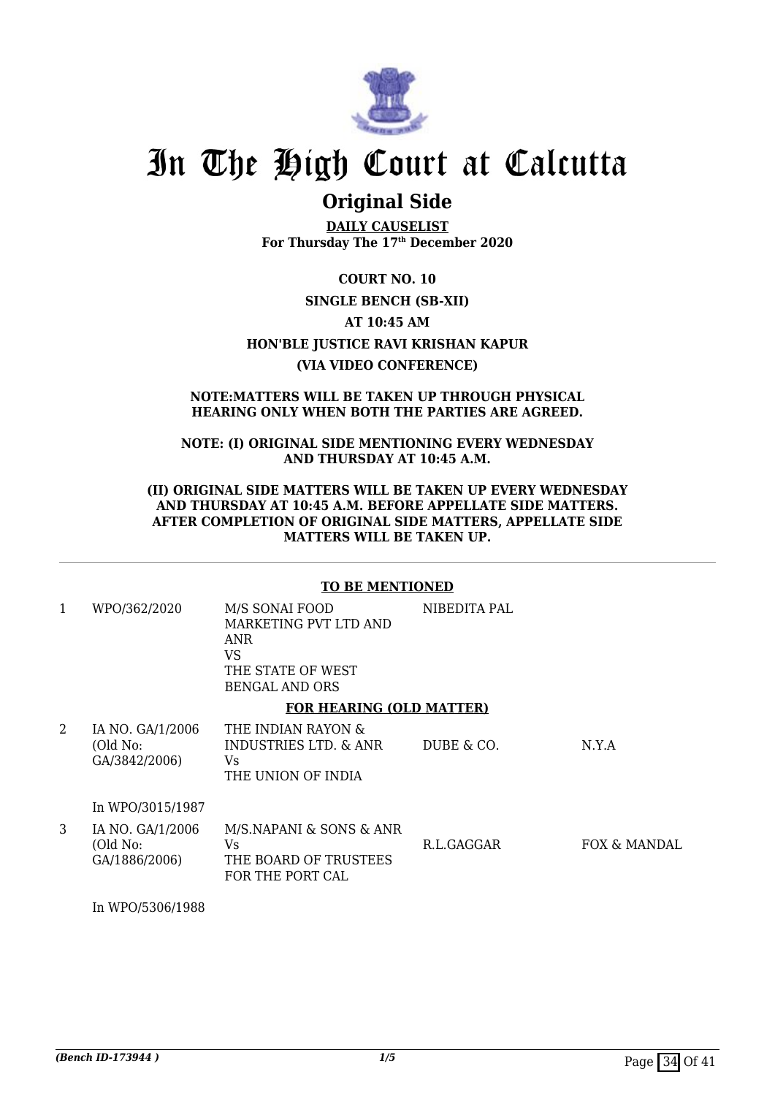

### **Original Side**

**DAILY CAUSELIST For Thursday The 17th December 2020**

**COURT NO. 10 SINGLE BENCH (SB-XII) AT 10:45 AM HON'BLE JUSTICE RAVI KRISHAN KAPUR (VIA VIDEO CONFERENCE)**

#### **NOTE:MATTERS WILL BE TAKEN UP THROUGH PHYSICAL HEARING ONLY WHEN BOTH THE PARTIES ARE AGREED.**

#### **NOTE: (I) ORIGINAL SIDE MENTIONING EVERY WEDNESDAY AND THURSDAY AT 10:45 A.M.**

#### **(II) ORIGINAL SIDE MATTERS WILL BE TAKEN UP EVERY WEDNESDAY AND THURSDAY AT 10:45 A.M. BEFORE APPELLATE SIDE MATTERS. AFTER COMPLETION OF ORIGINAL SIDE MATTERS, APPELLATE SIDE MATTERS WILL BE TAKEN UP.**

#### **TO BE MENTIONED**

| 1 | WPO/362/2020                                  | M/S SONAI FOOD<br>MARKETING PVT LTD AND<br>ANR<br>VS<br>THE STATE OF WEST<br><b>BENGAL AND ORS</b> | NIBEDITA PAL |       |
|---|-----------------------------------------------|----------------------------------------------------------------------------------------------------|--------------|-------|
|   |                                               | <b>FOR HEARING (OLD MATTER)</b>                                                                    |              |       |
| 2 | IA NO. GA/1/2006<br>(Old No:<br>GA/3842/2006) | THE INDIAN RAYON &<br>INDUSTRIES LTD. & ANR<br>Vs.<br>THE UNION OF INDIA                           | DUBE & CO.   | N.Y.A |
|   |                                               |                                                                                                    |              |       |

In WPO/3015/1987

| IA NO. GA/1/2006 | M/S.NAPANI & SONS & ANR |            |              |
|------------------|-------------------------|------------|--------------|
| (Old No:         | Vs.                     | R.L.GAGGAR | FOX & MANDAL |
| GA/1886/2006)    | THE BOARD OF TRUSTEES   |            |              |
|                  | FOR THE PORT CAL        |            |              |

In WPO/5306/1988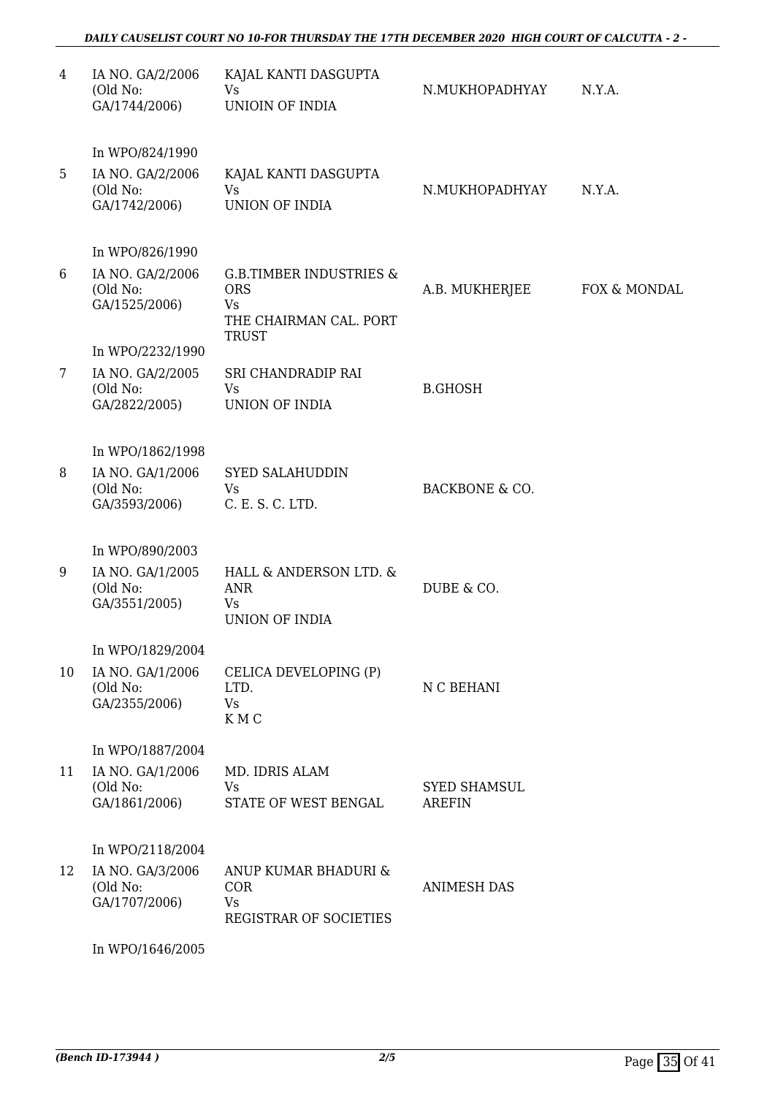| 4              | IA NO. GA/2/2006<br>(Old No:<br>GA/1744/2006) | KAJAL KANTI DASGUPTA<br>Vs<br>UNIOIN OF INDIA                                                    | N.MUKHOPADHYAY                       | N.Y.A.       |
|----------------|-----------------------------------------------|--------------------------------------------------------------------------------------------------|--------------------------------------|--------------|
|                | In WPO/824/1990                               |                                                                                                  |                                      |              |
| 5              | IA NO. GA/2/2006<br>(Old No:<br>GA/1742/2006) | KAJAL KANTI DASGUPTA<br><b>Vs</b><br>UNION OF INDIA                                              | N.MUKHOPADHYAY                       | N.Y.A.       |
|                | In WPO/826/1990                               |                                                                                                  |                                      |              |
| 6              | IA NO. GA/2/2006<br>(Old No:<br>GA/1525/2006) | <b>G.B.TIMBER INDUSTRIES &amp;</b><br><b>ORS</b><br>Vs<br>THE CHAIRMAN CAL. PORT<br><b>TRUST</b> | A.B. MUKHERJEE                       | FOX & MONDAL |
|                | In WPO/2232/1990                              |                                                                                                  |                                      |              |
| $7\phantom{.}$ | IA NO. GA/2/2005<br>(Old No:<br>GA/2822/2005) | SRI CHANDRADIP RAI<br>Vs<br>UNION OF INDIA                                                       | <b>B.GHOSH</b>                       |              |
|                | In WPO/1862/1998                              |                                                                                                  |                                      |              |
| 8              | IA NO. GA/1/2006<br>(Old No:<br>GA/3593/2006) | <b>SYED SALAHUDDIN</b><br>Vs<br>C. E. S. C. LTD.                                                 | <b>BACKBONE &amp; CO.</b>            |              |
|                | In WPO/890/2003                               |                                                                                                  |                                      |              |
| 9              | IA NO. GA/1/2005<br>(Old No:<br>GA/3551/2005) | HALL & ANDERSON LTD. &<br><b>ANR</b><br>Vs<br><b>UNION OF INDIA</b>                              | DUBE & CO.                           |              |
|                | In WPO/1829/2004                              |                                                                                                  |                                      |              |
| 10             | IA NO. GA/1/2006<br>(Old No:<br>GA/2355/2006) | CELICA DEVELOPING (P)<br>LTD.<br><b>Vs</b><br>KMC                                                | N C BEHANI                           |              |
|                | In WPO/1887/2004                              |                                                                                                  |                                      |              |
| 11             | IA NO. GA/1/2006<br>(Old No:<br>GA/1861/2006) | MD. IDRIS ALAM<br>Vs<br>STATE OF WEST BENGAL                                                     | <b>SYED SHAMSUL</b><br><b>AREFIN</b> |              |
|                | In WPO/2118/2004                              |                                                                                                  |                                      |              |
| 12             | IA NO. GA/3/2006<br>(Old No:<br>GA/1707/2006) | ANUP KUMAR BHADURI &<br><b>COR</b><br>Vs<br>REGISTRAR OF SOCIETIES                               | <b>ANIMESH DAS</b>                   |              |

In WPO/1646/2005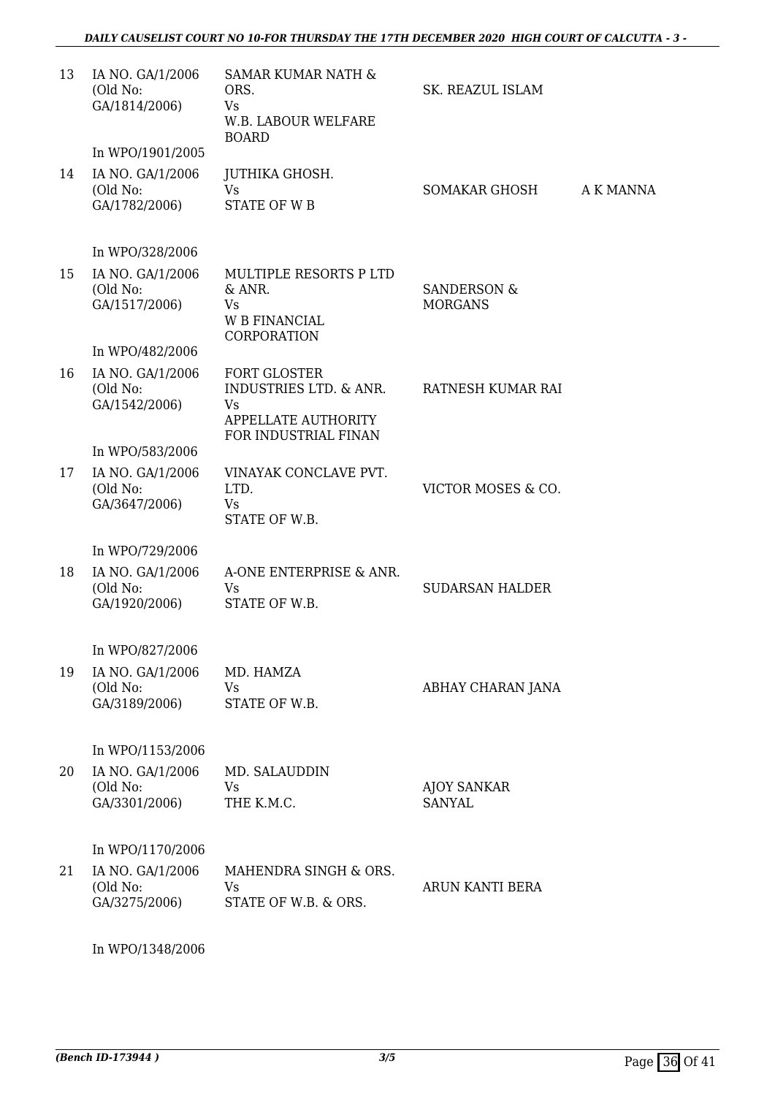| 13 | IA NO. GA/1/2006<br>(Old No:<br>GA/1814/2006)                     | <b>SAMAR KUMAR NATH &amp;</b><br>ORS.<br>Vs<br>W.B. LABOUR WELFARE<br><b>BOARD</b>           | SK. REAZUL ISLAM                         |           |
|----|-------------------------------------------------------------------|----------------------------------------------------------------------------------------------|------------------------------------------|-----------|
|    | In WPO/1901/2005                                                  |                                                                                              |                                          |           |
| 14 | IA NO. GA/1/2006<br>(Old No:<br>GA/1782/2006)                     | JUTHIKA GHOSH.<br><b>Vs</b><br><b>STATE OF WB</b>                                            | <b>SOMAKAR GHOSH</b>                     | A K MANNA |
|    | In WPO/328/2006                                                   |                                                                                              |                                          |           |
| 15 | IA NO. GA/1/2006<br>(Old No:<br>GA/1517/2006)                     | MULTIPLE RESORTS P LTD<br>& ANR.<br><b>Vs</b><br><b>W B FINANCIAL</b><br><b>CORPORATION</b>  | <b>SANDERSON &amp;</b><br><b>MORGANS</b> |           |
|    | In WPO/482/2006                                                   |                                                                                              |                                          |           |
| 16 | IA NO. GA/1/2006<br>(Old No:<br>GA/1542/2006)                     | <b>FORT GLOSTER</b><br><b>INDUSTRIES LTD. &amp; ANR.</b><br>Vs<br><b>APPELLATE AUTHORITY</b> | RATNESH KUMAR RAI                        |           |
|    | In WPO/583/2006                                                   | FOR INDUSTRIAL FINAN                                                                         |                                          |           |
| 17 | IA NO. GA/1/2006<br>(Old No:<br>GA/3647/2006)                     | VINAYAK CONCLAVE PVT.<br>LTD.<br>Vs<br>STATE OF W.B.                                         | VICTOR MOSES & CO.                       |           |
|    | In WPO/729/2006                                                   |                                                                                              |                                          |           |
| 18 | IA NO. GA/1/2006<br>(Old No:<br>GA/1920/2006)                     | A-ONE ENTERPRISE & ANR.<br>Vs<br>STATE OF W.B.                                               | <b>SUDARSAN HALDER</b>                   |           |
|    |                                                                   |                                                                                              |                                          |           |
| 19 | In WPO/827/2006<br>IA NO. GA/1/2006<br>(Old No:<br>GA/3189/2006)  | MD. HAMZA<br>Vs<br>STATE OF W.B.                                                             | ABHAY CHARAN JANA                        |           |
|    | In WPO/1153/2006                                                  |                                                                                              |                                          |           |
| 20 | IA NO. GA/1/2006<br>(Old No:<br>GA/3301/2006)                     | MD. SALAUDDIN<br>Vs<br>THE K.M.C.                                                            | <b>AJOY SANKAR</b><br><b>SANYAL</b>      |           |
| 21 | In WPO/1170/2006<br>IA NO. GA/1/2006<br>(Old No:<br>GA/3275/2006) | MAHENDRA SINGH & ORS.<br>Vs<br>STATE OF W.B. & ORS.                                          | ARUN KANTI BERA                          |           |

In WPO/1348/2006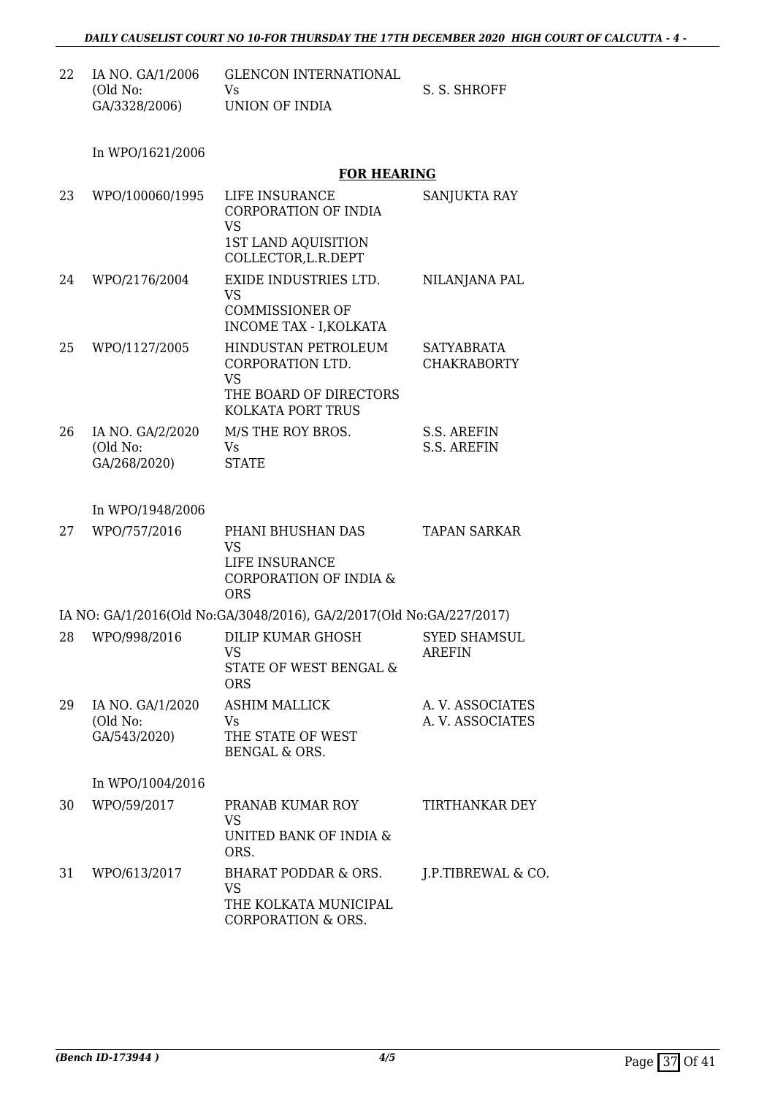| 22 | IA NO. GA/1/2006 | GLENCON INTERNATIONAL |              |
|----|------------------|-----------------------|--------------|
|    | (Old No:         | Vs.                   | S. S. SHROFF |
|    | GA/3328/2006)    | UNION OF INDIA        |              |

In WPO/1621/2006

#### **FOR HEARING**

| 23 | WPO/100060/1995                              | LIFE INSURANCE<br><b>CORPORATION OF INDIA</b><br><b>VS</b><br>1ST LAND AQUISITION<br>COLLECTOR, L.R.DEPT   | SANJUKTA RAY                         |
|----|----------------------------------------------|------------------------------------------------------------------------------------------------------------|--------------------------------------|
| 24 | WPO/2176/2004                                | <b>EXIDE INDUSTRIES LTD.</b><br><b>VS</b><br><b>COMMISSIONER OF</b><br><b>INCOME TAX - I, KOLKATA</b>      | NILANJANA PAL                        |
| 25 | WPO/1127/2005                                | <b>HINDUSTAN PETROLEUM</b><br>CORPORATION LTD.<br><b>VS</b><br>THE BOARD OF DIRECTORS<br>KOLKATA PORT TRUS | SATYABRATA<br><b>CHAKRABORTY</b>     |
| 26 | IA NO. GA/2/2020<br>(Old No:<br>GA/268/2020) | M/S THE ROY BROS.<br>Vs<br><b>STATE</b>                                                                    | S.S. AREFIN<br><b>S.S. AREFIN</b>    |
|    | In WPO/1948/2006                             |                                                                                                            |                                      |
| 27 | WPO/757/2016                                 | PHANI BHUSHAN DAS<br><b>VS</b><br>LIFE INSURANCE<br><b>CORPORATION OF INDIA &amp;</b><br><b>ORS</b>        | <b>TAPAN SARKAR</b>                  |
|    |                                              | IA NO: GA/1/2016(Old No:GA/3048/2016), GA/2/2017(Old No:GA/227/2017)                                       |                                      |
| 28 | WPO/998/2016                                 | DILIP KUMAR GHOSH<br><b>VS</b><br>STATE OF WEST BENGAL &<br><b>ORS</b>                                     | <b>SYED SHAMSUL</b><br><b>AREFIN</b> |
| 29 | IA NO. GA/1/2020<br>(Old No:<br>GA/543/2020) | <b>ASHIM MALLICK</b><br>Vs<br>THE STATE OF WEST<br><b>BENGAL &amp; ORS.</b>                                | A.V. ASSOCIATES<br>A. V. ASSOCIATES  |
|    | In WPO/1004/2016                             |                                                                                                            |                                      |
| 30 | WPO/59/2017                                  | PRANAB KUMAR ROY<br><b>VS</b><br>UNITED BANK OF INDIA &<br>ORS.                                            | TIRTHANKAR DEY                       |
| 31 | WPO/613/2017                                 | <b>BHARAT PODDAR &amp; ORS.</b><br><b>VS</b><br>THE KOLKATA MUNICIPAL<br><b>CORPORATION &amp; ORS.</b>     | J.P.TIBREWAL & CO.                   |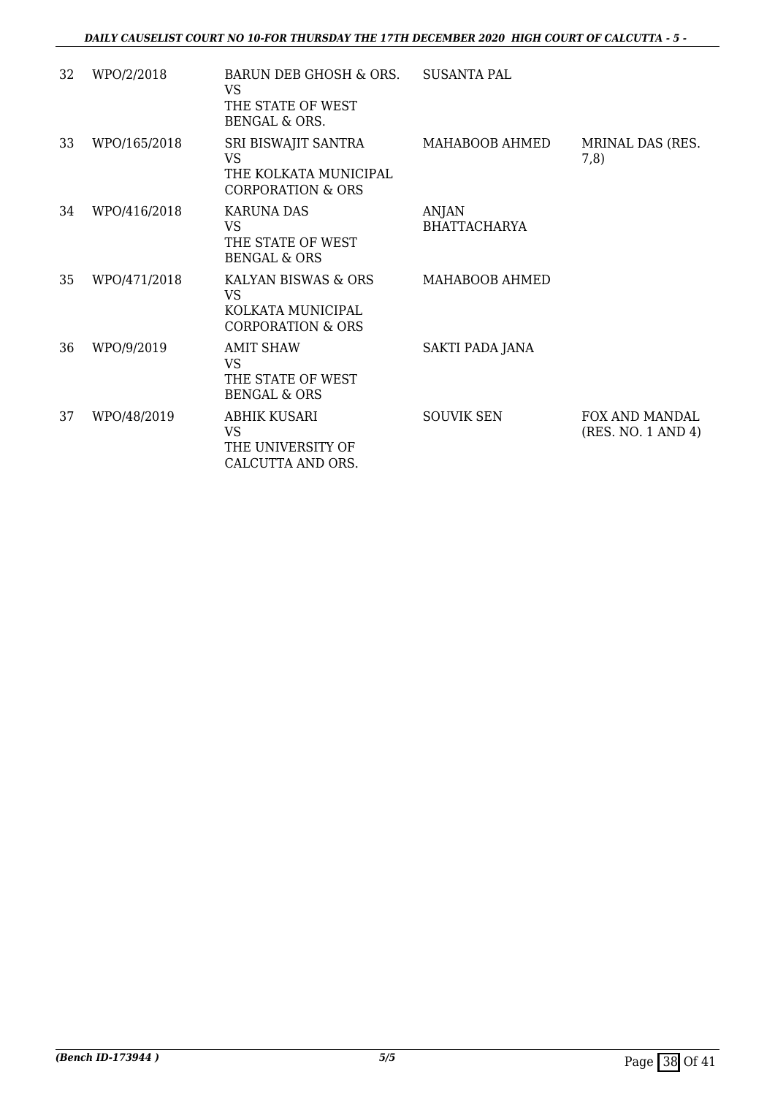| 32 | WPO/2/2018   | BARUN DEB GHOSH & ORS.<br>VS<br>THE STATE OF WEST<br><b>BENGAL &amp; ORS.</b>             | <b>SUSANTA PAL</b>                  |                                             |
|----|--------------|-------------------------------------------------------------------------------------------|-------------------------------------|---------------------------------------------|
| 33 | WPO/165/2018 | SRI BISWAJIT SANTRA<br><b>VS</b><br>THE KOLKATA MUNICIPAL<br><b>CORPORATION &amp; ORS</b> | MAHABOOB AHMED                      | MRINAL DAS (RES.<br>7,8)                    |
| 34 | WPO/416/2018 | <b>KARUNA DAS</b><br><b>VS</b><br>THE STATE OF WEST<br><b>BENGAL &amp; ORS</b>            | <b>ANJAN</b><br><b>BHATTACHARYA</b> |                                             |
| 35 | WPO/471/2018 | KALYAN BISWAS & ORS<br>VS<br>KOLKATA MUNICIPAL<br><b>CORPORATION &amp; ORS</b>            | MAHABOOB AHMED                      |                                             |
| 36 | WPO/9/2019   | <b>AMIT SHAW</b><br><b>VS</b><br>THE STATE OF WEST<br><b>BENGAL &amp; ORS</b>             | SAKTI PADA JANA                     |                                             |
| 37 | WPO/48/2019  | ABHIK KUSARI<br><b>VS</b><br>THE UNIVERSITY OF<br>CALCUTTA AND ORS.                       | <b>SOUVIK SEN</b>                   | <b>FOX AND MANDAL</b><br>(RES. NO. 1 AND 4) |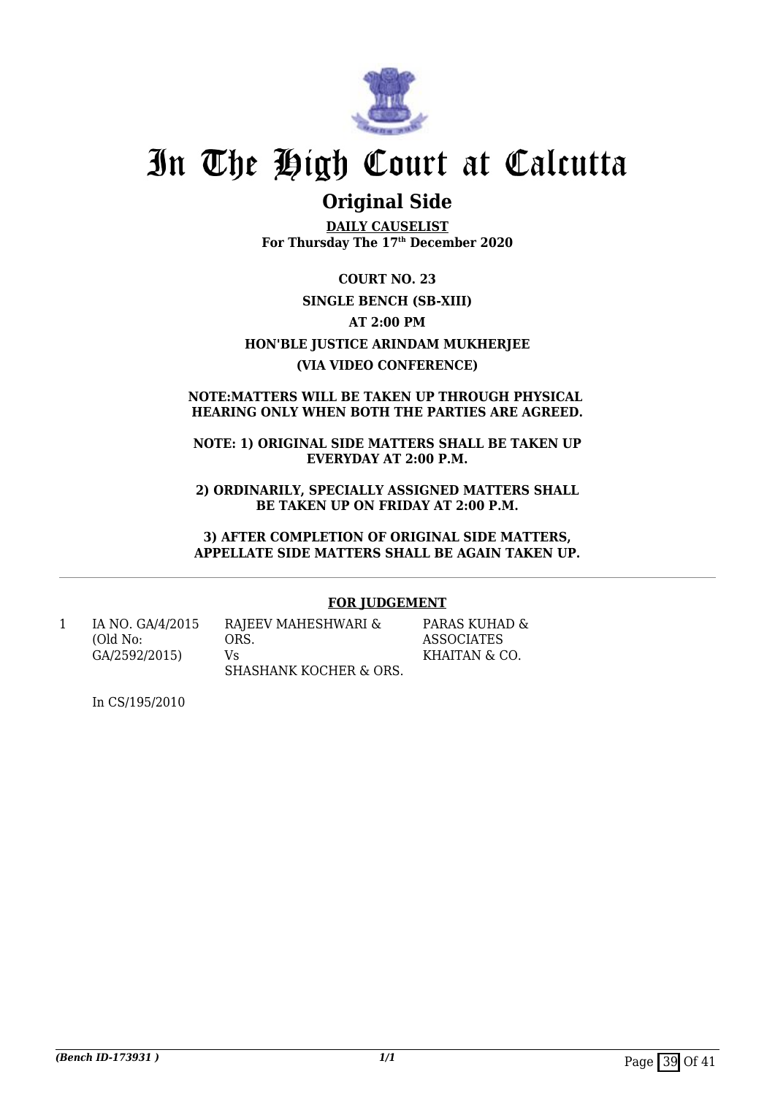

### **Original Side**

**DAILY CAUSELIST For Thursday The 17th December 2020**

**COURT NO. 23 SINGLE BENCH (SB-XIII) AT 2:00 PM HON'BLE JUSTICE ARINDAM MUKHERJEE (VIA VIDEO CONFERENCE)**

#### **NOTE:MATTERS WILL BE TAKEN UP THROUGH PHYSICAL HEARING ONLY WHEN BOTH THE PARTIES ARE AGREED.**

**NOTE: 1) ORIGINAL SIDE MATTERS SHALL BE TAKEN UP EVERYDAY AT 2:00 P.M.**

**2) ORDINARILY, SPECIALLY ASSIGNED MATTERS SHALL BE TAKEN UP ON FRIDAY AT 2:00 P.M.**

**3) AFTER COMPLETION OF ORIGINAL SIDE MATTERS, APPELLATE SIDE MATTERS SHALL BE AGAIN TAKEN UP.**

#### **FOR JUDGEMENT**

1 IA NO. GA/4/2015 (Old No: GA/2592/2015)

RAJEEV MAHESHWARI & ORS. Vs SHASHANK KOCHER & ORS.

PARAS KUHAD & ASSOCIATES KHAITAN & CO.

In CS/195/2010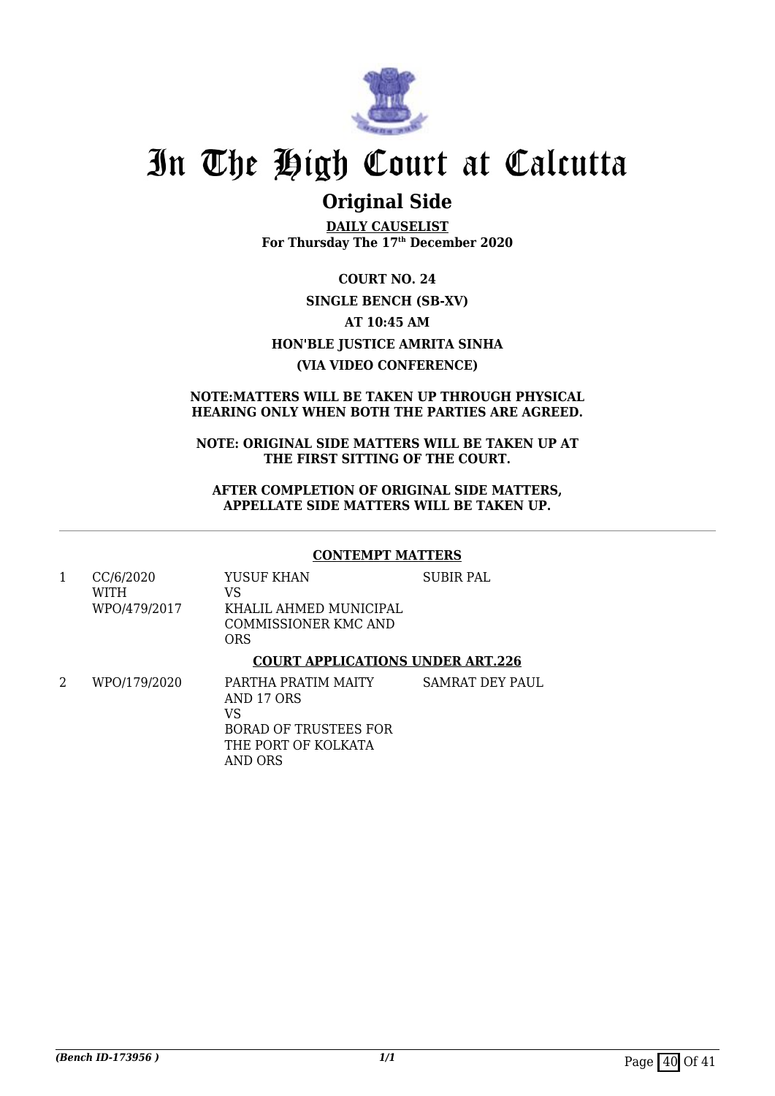

### **Original Side**

**DAILY CAUSELIST For Thursday The 17th December 2020**

**COURT NO. 24 SINGLE BENCH (SB-XV) AT 10:45 AM HON'BLE JUSTICE AMRITA SINHA (VIA VIDEO CONFERENCE)**

#### **NOTE:MATTERS WILL BE TAKEN UP THROUGH PHYSICAL HEARING ONLY WHEN BOTH THE PARTIES ARE AGREED.**

#### **NOTE: ORIGINAL SIDE MATTERS WILL BE TAKEN UP AT THE FIRST SITTING OF THE COURT.**

**AFTER COMPLETION OF ORIGINAL SIDE MATTERS, APPELLATE SIDE MATTERS WILL BE TAKEN UP.**

#### **CONTEMPT MATTERS**

1 CC/6/2020 WITH WPO/479/2017 YUSUF KHAN VS KHALIL AHMED MUNICIPAL COMMISSIONER KMC AND ORS SUBIR PAL

#### **COURT APPLICATIONS UNDER ART.226**

2 WPO/179/2020 PARTHA PRATIM MAITY AND 17 ORS VS BORAD OF TRUSTEES FOR THE PORT OF KOLKATA AND ORS SAMRAT DEY PAUL